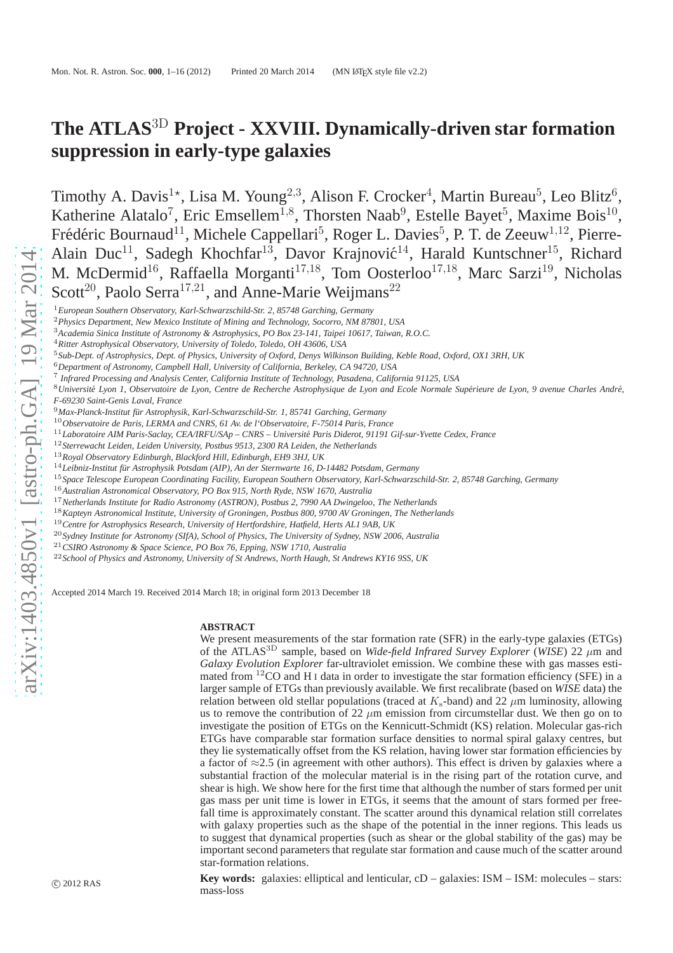# **The ATLAS**3D **Project - XXVIII. Dynamically-driven star formation suppression in early-type galaxies**

Timothy A. Davis<sup>1\*</sup>, Lisa M. Young<sup>2,3</sup>, Alison F. Crocker<sup>4</sup>, Martin Bureau<sup>5</sup>, Leo Blitz<sup>6</sup>, Katherine Alatalo<sup>7</sup>, Eric Emsellem<sup>1,8</sup>, Thorsten Naab<sup>9</sup>, Estelle Bayet<sup>5</sup>, Maxime Bois<sup>10</sup>, Frédéric Bournaud<sup>11</sup>, Michele Cappellari<sup>5</sup>, Roger L. Davies<sup>5</sup>, P. T. de Zeeuw<sup>1,12</sup>, Pierre-Alain Duc<sup>11</sup>, Sadegh Khochfar<sup>13</sup>, Davor Krajnović<sup>14</sup>, Harald Kuntschner<sup>15</sup>, Richard M. McDermid<sup>16</sup>, Raffaella Morganti<sup>17,18</sup>, Tom Oosterloo<sup>17,18</sup>, Marc Sarzi<sup>19</sup>, Nicholas Scott<sup>20</sup>, Paolo Serra<sup>17,21</sup>, and Anne-Marie Weijmans<sup>22</sup>

- <sup>6</sup>*Department of Astronomy, Campbell Hall, University of California, Berkeley, CA 94720, USA*
- 7 *Infrared Processing and Analysis Center, California Institute of Technology, Pasadena, California 91125, USA*
- <sup>8</sup> Université Lyon 1, Observatoire de Lyon, Centre de Recherche Astrophysique de Lyon and Ecole Normale Supérieure de Lyon, 9 avenue Charles André, *F-69230 Saint-Genis Laval, France*
- <sup>9</sup> Max-Planck-Institut für Astrophysik, Karl-Schwarzschild-Str. 1, 85741 Garching, Germany
- <sup>10</sup>*Observatoire de Paris, LERMA and CNRS, 61 Av. de l'Observatoire, F-75014 Paris, France*
- <sup>11</sup>Laboratoire AIM Paris-Saclay, CEA/IRFU/SAp CNRS Université Paris Diderot, 91191 Gif-sur-Yvette Cedex, France
- <sup>12</sup>*Sterrewacht Leiden, Leiden University, Postbus 9513, 2300 RA Leiden, the Netherlands*
- <sup>13</sup>*Royal Observatory Edinburgh, Blackford Hill, Edinburgh, EH9 3HJ, UK*
- <sup>14</sup>Leibniz-Institut für Astrophysik Potsdam (AIP), An der Sternwarte 16, D-14482 Potsdam, Germany
- <sup>15</sup>*Space Telescope European Coordinating Facility, European Southern Observatory, Karl-Schwarzschild-Str. 2, 85748 Garching, Germany*
- <sup>16</sup>*Australian Astronomical Observatory, PO Box 915, North Ryde, NSW 1670, Australia*
- <sup>17</sup>*Netherlands Institute for Radio Astronomy (ASTRON), Postbus 2, 7990 AA Dwingeloo, The Netherlands*
- <sup>18</sup>*Kapteyn Astronomical Institute, University of Groningen, Postbus 800, 9700 AV Groningen, The Netherlands*
- <sup>19</sup>*Centre for Astrophysics Research, University of Hertfordshire, Hatfield, Herts AL1 9AB, UK*
- <sup>20</sup>*Sydney Institute for Astronomy (SIfA), School of Physics, The University of Sydney, NSW 2006, Australia*
- <sup>21</sup>*CSIRO Astronomy & Space Science, PO Box 76, Epping, NSW 1710, Australia*
- <sup>22</sup>*School of Physics and Astronomy, University of St Andrews, North Haugh, St Andrews KY16 9SS, UK*

Accepted 2014 March 19. Received 2014 March 18; in original form 2013 December 18

# **ABSTRACT**

We present measurements of the star formation rate (SFR) in the early-type galaxies (ETGs) of the ATLAS3D sample, based on *Wide-field Infrared Survey Explorer* (*WISE*) 22 µm and *Galaxy Evolution Explorer* far-ultraviolet emission. We combine these with gas masses estimated from  $^{12}CO$  and H<sub>I</sub> data in order to investigate the star formation efficiency (SFE) in a larger sample of ETGs than previously available. We first recalibrate (based on *WISE* data) the relation between old stellar populations (traced at  $K_s$ -band) and 22  $\mu$ m luminosity, allowing us to remove the contribution of 22  $\mu$ m emission from circumstellar dust. We then go on to investigate the position of ETGs on the Kennicutt-Schmidt (KS) relation. Molecular gas-rich ETGs have comparable star formation surface densities to normal spiral galaxy centres, but they lie systematically offset from the KS relation, having lower star formation efficiencies by a factor of ≈2.5 (in agreement with other authors). This effect is driven by galaxies where a substantial fraction of the molecular material is in the rising part of the rotation curve, and shear is high. We show here for the first time that although the number of stars formed per unit gas mass per unit time is lower in ETGs, it seems that the amount of stars formed per freefall time is approximately constant. The scatter around this dynamical relation still correlates with galaxy properties such as the shape of the potential in the inner regions. This leads us to suggest that dynamical properties (such as shear or the global stability of the gas) may be important second parameters that regulate star formation and cause much of the scatter around star-formation relations.

**Key words:** galaxies: elliptical and lenticular, cD – galaxies: ISM – ISM: molecules – stars: mass-loss

<sup>1</sup>*European Southern Observatory, Karl-Schwarzschild-Str. 2, 85748 Garching, Germany*

<sup>2</sup>*Physics Department, New Mexico Institute of Mining and Technology, Socorro, NM 87801, USA*

<sup>3</sup>*Academia Sinica Institute of Astronomy & Astrophysics, PO Box 23-141, Taipei 10617, Taiwan, R.O.C.*

<sup>4</sup>*Ritter Astrophysical Observatory, University of Toledo, Toledo, OH 43606, USA*

<sup>5</sup>*Sub-Dept. of Astrophysics, Dept. of Physics, University of Oxford, Denys Wilkinson Building, Keble Road, Oxford, OX1 3RH, UK*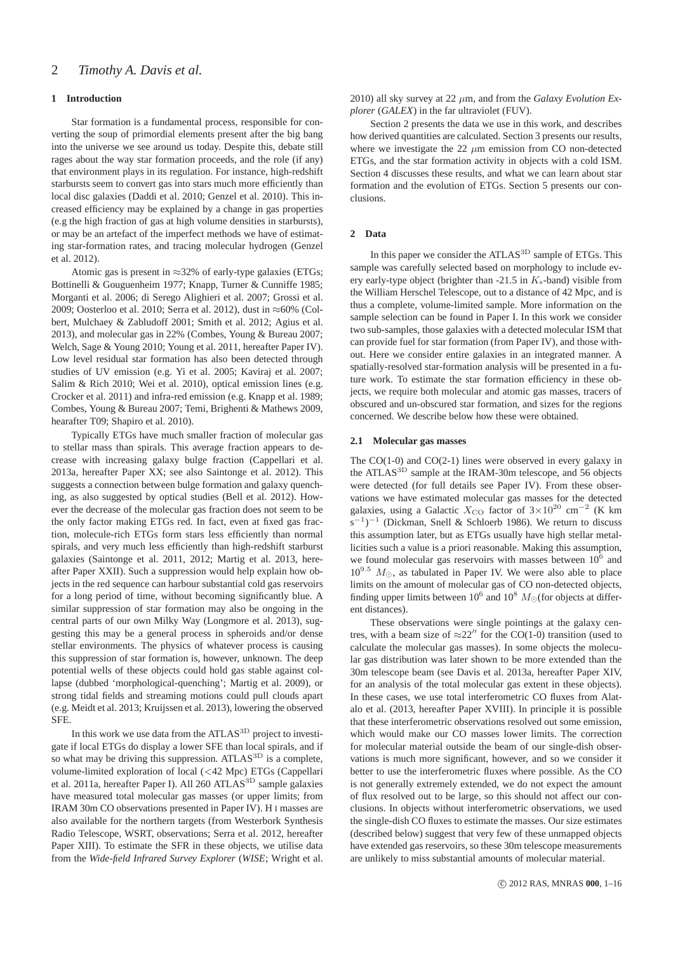# **1 Introduction**

Star formation is a fundamental process, responsible for converting the soup of primordial elements present after the big bang into the universe we see around us today. Despite this, debate still rages about the way star formation proceeds, and the role (if any) that environment plays in its regulation. For instance, high-redshift starbursts seem to convert gas into stars much more efficiently than local disc galaxies (Daddi et al. 2010; Genzel et al. 2010). This increased efficiency may be explained by a change in gas properties (e.g the high fraction of gas at high volume densities in starbursts), or may be an artefact of the imperfect methods we have of estimating star-formation rates, and tracing molecular hydrogen (Genzel et al. 2012).

Atomic gas is present in  $\approx$ 32% of early-type galaxies (ETGs; Bottinelli & Gouguenheim 1977; Knapp, Turner & Cunniffe 1985; Morganti et al. 2006; di Serego Alighieri et al. 2007; Grossi et al. 2009; Oosterloo et al. 2010; Serra et al. 2012), dust in ≈60% (Colbert, Mulchaey & Zabludoff 2001; Smith et al. 2012; Agius et al. 2013), and molecular gas in 22% (Combes, Young & Bureau 2007; Welch, Sage & Young 2010; Young et al. 2011, hereafter Paper IV). Low level residual star formation has also been detected through studies of UV emission (e.g. Yi et al. 2005; Kaviraj et al. 2007; Salim & Rich 2010; Wei et al. 2010), optical emission lines (e.g. Crocker et al. 2011) and infra-red emission (e.g. Knapp et al. 1989; Combes, Young & Bureau 2007; Temi, Brighenti & Mathews 2009, hearafter T09; Shapiro et al. 2010).

Typically ETGs have much smaller fraction of molecular gas to stellar mass than spirals. This average fraction appears to decrease with increasing galaxy bulge fraction (Cappellari et al. 2013a, hereafter Paper XX; see also Saintonge et al. 2012). This suggests a connection between bulge formation and galaxy quenching, as also suggested by optical studies (Bell et al. 2012). However the decrease of the molecular gas fraction does not seem to be the only factor making ETGs red. In fact, even at fixed gas fraction, molecule-rich ETGs form stars less efficiently than normal spirals, and very much less efficiently than high-redshift starburst galaxies (Saintonge et al. 2011, 2012; Martig et al. 2013, hereafter Paper XXII). Such a suppression would help explain how objects in the red sequence can harbour substantial cold gas reservoirs for a long period of time, without becoming significantly blue. A similar suppression of star formation may also be ongoing in the central parts of our own Milky Way (Longmore et al. 2013), suggesting this may be a general process in spheroids and/or dense stellar environments. The physics of whatever process is causing this suppression of star formation is, however, unknown. The deep potential wells of these objects could hold gas stable against collapse (dubbed 'morphological-quenching'; Martig et al. 2009), or strong tidal fields and streaming motions could pull clouds apart (e.g. Meidt et al. 2013; Kruijssen et al. 2013), lowering the observed SFE.

In this work we use data from the ATLAS<sup>3D</sup> project to investigate if local ETGs do display a lower SFE than local spirals, and if so what may be driving this suppression.  $ATLAS<sup>3D</sup>$  is a complete, volume-limited exploration of local (<42 Mpc) ETGs (Cappellari et al. 2011a, hereafter Paper I). All 260 ATLAS3D sample galaxies have measured total molecular gas masses (or upper limits; from IRAM 30m CO observations presented in Paper IV). H I masses are also available for the northern targets (from Westerbork Synthesis Radio Telescope, WSRT, observations; Serra et al. 2012, hereafter Paper XIII). To estimate the SFR in these objects, we utilise data from the *Wide-field Infrared Survey Explorer* (*WISE*; Wright et al. 2010) all sky survey at 22 µm, and from the *Galaxy Evolution Explorer* (*GALEX*) in the far ultraviolet (FUV).

Section 2 presents the data we use in this work, and describes how derived quantities are calculated. Section 3 presents our results, where we investigate the 22  $\mu$ m emission from CO non-detected ETGs, and the star formation activity in objects with a cold ISM. Section 4 discusses these results, and what we can learn about star formation and the evolution of ETGs. Section 5 presents our conclusions.

#### **2 Data**

In this paper we consider the ATLAS<sup>3D</sup> sample of ETGs. This sample was carefully selected based on morphology to include every early-type object (brighter than -21.5 in  $K_s$ -band) visible from the William Herschel Telescope, out to a distance of 42 Mpc, and is thus a complete, volume-limited sample. More information on the sample selection can be found in Paper I. In this work we consider two sub-samples, those galaxies with a detected molecular ISM that can provide fuel for star formation (from Paper IV), and those without. Here we consider entire galaxies in an integrated manner. A spatially-resolved star-formation analysis will be presented in a future work. To estimate the star formation efficiency in these objects, we require both molecular and atomic gas masses, tracers of obscured and un-obscured star formation, and sizes for the regions concerned. We describe below how these were obtained.

### **2.1 Molecular gas masses**

The CO(1-0) and CO(2-1) lines were observed in every galaxy in the ATLAS<sup>3D</sup> sample at the IRAM-30m telescope, and 56 objects were detected (for full details see Paper IV). From these observations we have estimated molecular gas masses for the detected galaxies, using a Galactic  $X_{\text{CO}}$  factor of  $3 \times 10^{20}$  cm<sup>-2</sup> (K km  $(s^{-1})^{-1}$  (Dickman, Snell & Schloerb 1986). We return to discuss this assumption later, but as ETGs usually have high stellar metallicities such a value is a priori reasonable. Making this assumption, we found molecular gas reservoirs with masses between  $10^6$  and  $10^{9.5}$   $M_{\odot}$ , as tabulated in Paper IV. We were also able to place limits on the amount of molecular gas of CO non-detected objects, finding upper limits between  $10^6$  and  $10^8$   $M_{\odot}$  (for objects at different distances).

These observations were single pointings at the galaxy centres, with a beam size of  $\approx 22''$  for the CO(1-0) transition (used to calculate the molecular gas masses). In some objects the molecular gas distribution was later shown to be more extended than the 30m telescope beam (see Davis et al. 2013a, hereafter Paper XIV, for an analysis of the total molecular gas extent in these objects). In these cases, we use total interferometric CO fluxes from Alatalo et al. (2013, hereafter Paper XVIII). In principle it is possible that these interferometric observations resolved out some emission, which would make our CO masses lower limits. The correction for molecular material outside the beam of our single-dish observations is much more significant, however, and so we consider it better to use the interferometric fluxes where possible. As the CO is not generally extremely extended, we do not expect the amount of flux resolved out to be large, so this should not affect our conclusions. In objects without interferometric observations, we used the single-dish CO fluxes to estimate the masses. Our size estimates (described below) suggest that very few of these unmapped objects have extended gas reservoirs, so these 30m telescope measurements are unlikely to miss substantial amounts of molecular material.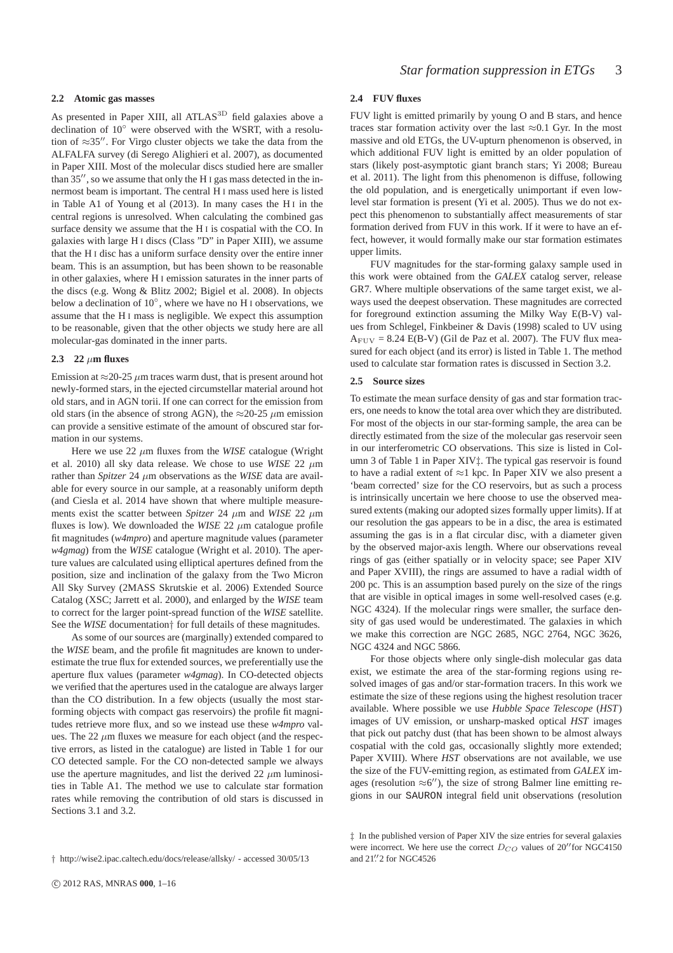# **2.2 Atomic gas masses**

As presented in Paper XIII, all ATLAS<sup>3D</sup> field galaxies above a declination of 10◦ were observed with the WSRT, with a resolution of <sup>≈</sup>35′′. For Virgo cluster objects we take the data from the ALFALFA survey (di Serego Alighieri et al. 2007), as documented in Paper XIII. Most of the molecular discs studied here are smaller than 35′′, so we assume that only the H <sup>I</sup> gas mass detected in the innermost beam is important. The central H I mass used here is listed in Table A1 of Young et al (2013). In many cases the H I in the central regions is unresolved. When calculating the combined gas surface density we assume that the H<sub>I</sub> is cospatial with the CO. In galaxies with large H I discs (Class "D" in Paper XIII), we assume that the H I disc has a uniform surface density over the entire inner beam. This is an assumption, but has been shown to be reasonable in other galaxies, where H I emission saturates in the inner parts of the discs (e.g. Wong & Blitz 2002; Bigiel et al. 2008). In objects below a declination of 10°, where we have no H<sub>I</sub> observations, we assume that the H I mass is negligible. We expect this assumption to be reasonable, given that the other objects we study here are all molecular-gas dominated in the inner parts.

### 2.3 22  $\mu$ **m** fluxes

Emission at  $\approx$  20-25  $\mu$ m traces warm dust, that is present around hot newly-formed stars, in the ejected circumstellar material around hot old stars, and in AGN torii. If one can correct for the emission from old stars (in the absence of strong AGN), the  $\approx$ 20-25  $\mu$ m emission can provide a sensitive estimate of the amount of obscured star formation in our systems.

Here we use 22  $\mu$ m fluxes from the *WISE* catalogue (Wright et al. 2010) all sky data release. We chose to use *WISE* 22  $\mu$ m rather than *Spitzer* 24  $\mu$ m observations as the *WISE* data are available for every source in our sample, at a reasonably uniform depth (and Ciesla et al. 2014 have shown that where multiple measurements exist the scatter between *Spitzer* 24 µm and *WISE* 22 µm fluxes is low). We downloaded the *WISE* 22  $\mu$ m catalogue profile fit magnitudes (*w4mpro*) and aperture magnitude values (parameter *w4gmag*) from the *WISE* catalogue (Wright et al. 2010). The aperture values are calculated using elliptical apertures defined from the position, size and inclination of the galaxy from the Two Micron All Sky Survey (2MASS Skrutskie et al. 2006) Extended Source Catalog (XSC; Jarrett et al. 2000), and enlarged by the *WISE* team to correct for the larger point-spread function of the *WISE* satellite. See the *WISE* documentation† for full details of these magnitudes.

As some of our sources are (marginally) extended compared to the *WISE* beam, and the profile fit magnitudes are known to underestimate the true flux for extended sources, we preferentially use the aperture flux values (parameter *w4gmag*). In CO-detected objects we verified that the apertures used in the catalogue are always larger than the CO distribution. In a few objects (usually the most starforming objects with compact gas reservoirs) the profile fit magnitudes retrieve more flux, and so we instead use these *w4mpro* values. The 22  $\mu$ m fluxes we measure for each object (and the respective errors, as listed in the catalogue) are listed in Table 1 for our CO detected sample. For the CO non-detected sample we always use the aperture magnitudes, and list the derived 22  $\mu$ m luminosities in Table A1. The method we use to calculate star formation rates while removing the contribution of old stars is discussed in Sections 3.1 and 3.2.

# **2.4 FUV fluxes**

FUV light is emitted primarily by young O and B stars, and hence traces star formation activity over the last  $\approx 0.1$  Gyr. In the most massive and old ETGs, the UV-upturn phenomenon is observed, in which additional FUV light is emitted by an older population of stars (likely post-asymptotic giant branch stars; Yi 2008; Bureau et al. 2011). The light from this phenomenon is diffuse, following the old population, and is energetically unimportant if even lowlevel star formation is present (Yi et al. 2005). Thus we do not expect this phenomenon to substantially affect measurements of star formation derived from FUV in this work. If it were to have an effect, however, it would formally make our star formation estimates upper limits.

FUV magnitudes for the star-forming galaxy sample used in this work were obtained from the *GALEX* catalog server, release GR7. Where multiple observations of the same target exist, we always used the deepest observation. These magnitudes are corrected for foreground extinction assuming the Milky Way E(B-V) values from Schlegel, Finkbeiner & Davis (1998) scaled to UV using  $A_{\text{FUV}} = 8.24$  E(B-V) (Gil de Paz et al. 2007). The FUV flux measured for each object (and its error) is listed in Table 1. The method used to calculate star formation rates is discussed in Section 3.2.

#### **2.5 Source sizes**

To estimate the mean surface density of gas and star formation tracers, one needs to know the total area over which they are distributed. For most of the objects in our star-forming sample, the area can be directly estimated from the size of the molecular gas reservoir seen in our interferometric CO observations. This size is listed in Column 3 of Table 1 in Paper XIV‡. The typical gas reservoir is found to have a radial extent of  $\approx$ 1 kpc. In Paper XIV we also present a 'beam corrected' size for the CO reservoirs, but as such a process is intrinsically uncertain we here choose to use the observed measured extents (making our adopted sizes formally upper limits). If at our resolution the gas appears to be in a disc, the area is estimated assuming the gas is in a flat circular disc, with a diameter given by the observed major-axis length. Where our observations reveal rings of gas (either spatially or in velocity space; see Paper XIV and Paper XVIII), the rings are assumed to have a radial width of 200 pc. This is an assumption based purely on the size of the rings that are visible in optical images in some well-resolved cases (e.g. NGC 4324). If the molecular rings were smaller, the surface density of gas used would be underestimated. The galaxies in which we make this correction are NGC 2685, NGC 2764, NGC 3626, NGC 4324 and NGC 5866.

For those objects where only single-dish molecular gas data exist, we estimate the area of the star-forming regions using resolved images of gas and/or star-formation tracers. In this work we estimate the size of these regions using the highest resolution tracer available. Where possible we use *Hubble Space Telescope* (*HST*) images of UV emission, or unsharp-masked optical *HST* images that pick out patchy dust (that has been shown to be almost always cospatial with the cold gas, occasionally slightly more extended; Paper XVIII). Where *HST* observations are not available, we use the size of the FUV-emitting region, as estimated from *GALEX* images (resolution  $\approx 6''$ ), the size of strong Balmer line emitting regions in our SAURON integral field unit observations (resolution

<sup>†</sup> http://wise2.ipac.caltech.edu/docs/release/allsky/ - accessed 30/05/13

<sup>‡</sup> In the published version of Paper XIV the size entries for several galaxies were incorrect. We here use the correct  $D_{CO}$  values of 20<sup> $\prime\prime$ </sup> for NGC4150 and 21" 2 for NGC4526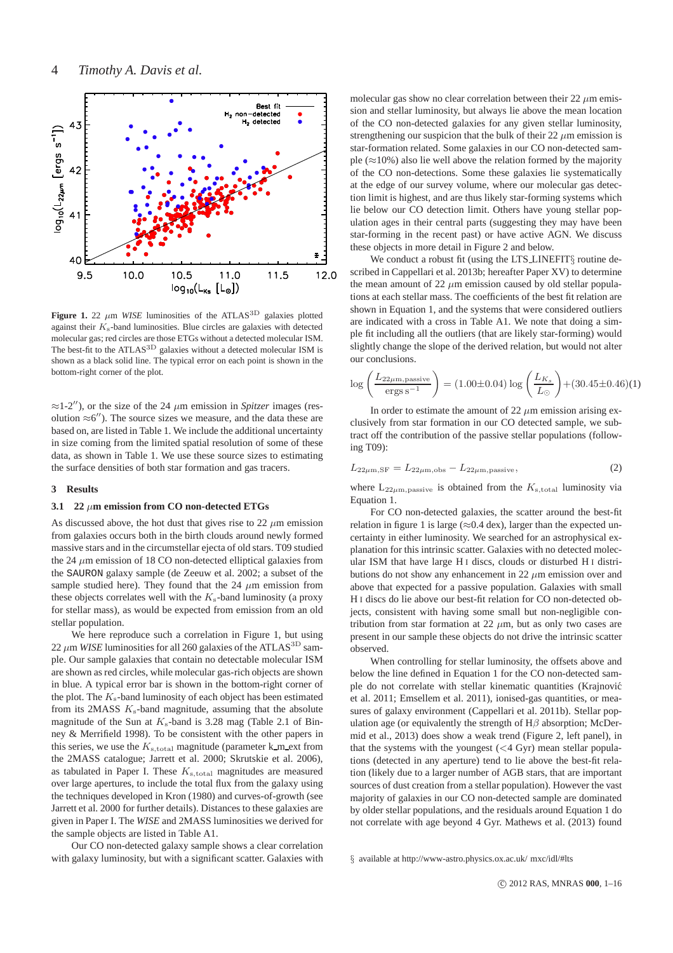

**Figure 1.** 22  $\mu$ m *WISE* luminosities of the ATLAS<sup>3D</sup> galaxies plotted against their  $K<sub>s</sub>$ -band luminosities. Blue circles are galaxies with detected molecular gas; red circles are those ETGs without a detected molecular ISM. The best-fit to the ATLAS<sup>3D</sup> galaxies without a detected molecular ISM is shown as a black solid line. The typical error on each point is shown in the bottom-right corner of the plot.

 $\approx$ 1-2<sup>''</sup>), or the size of the 24  $\mu$ m emission in *Spitzer* images (resolution  $\approx$ 6"). The source sizes we measure, and the data these are based on, are listed in Table 1. We include the additional uncertainty in size coming from the limited spatial resolution of some of these data, as shown in Table 1. We use these source sizes to estimating the surface densities of both star formation and gas tracers.

# **3 Results**

#### **3.1 22** µ**m emission from CO non-detected ETGs**

As discussed above, the hot dust that gives rise to  $22 \mu m$  emission from galaxies occurs both in the birth clouds around newly formed massive stars and in the circumstellar ejecta of old stars. T09 studied the 24  $\mu$ m emission of 18 CO non-detected elliptical galaxies from the SAURON galaxy sample (de Zeeuw et al. 2002; a subset of the sample studied here). They found that the 24  $\mu$ m emission from these objects correlates well with the  $K_s$ -band luminosity (a proxy for stellar mass), as would be expected from emission from an old stellar population.

We here reproduce such a correlation in Figure 1, but using  $22 \mu m$  *WISE* luminosities for all 260 galaxies of the ATLAS<sup>3D</sup> sample. Our sample galaxies that contain no detectable molecular ISM are shown as red circles, while molecular gas-rich objects are shown in blue. A typical error bar is shown in the bottom-right corner of the plot. The  $K_s$ -band luminosity of each object has been estimated from its 2MASS  $K_s$ -band magnitude, assuming that the absolute magnitude of the Sun at  $K_s$ -band is 3.28 mag (Table 2.1 of Binney & Merrifield 1998). To be consistent with the other papers in this series, we use the  $K_{s,\text{total}}$  magnitude (parameter k\_m\_ext from the 2MASS catalogue; Jarrett et al. 2000; Skrutskie et al. 2006), as tabulated in Paper I. These  $K_{s, total}$  magnitudes are measured over large apertures, to include the total flux from the galaxy using the techniques developed in Kron (1980) and curves-of-growth (see Jarrett et al. 2000 for further details). Distances to these galaxies are given in Paper I. The *WISE* and 2MASS luminosities we derived for the sample objects are listed in Table A1.

Our CO non-detected galaxy sample shows a clear correlation with galaxy luminosity, but with a significant scatter. Galaxies with molecular gas show no clear correlation between their 22  $\mu$ m emission and stellar luminosity, but always lie above the mean location of the CO non-detected galaxies for any given stellar luminosity, strengthening our suspicion that the bulk of their 22  $\mu$ m emission is star-formation related. Some galaxies in our CO non-detected sample ( $\approx$ 10%) also lie well above the relation formed by the majority of the CO non-detections. Some these galaxies lie systematically at the edge of our survey volume, where our molecular gas detection limit is highest, and are thus likely star-forming systems which lie below our CO detection limit. Others have young stellar population ages in their central parts (suggesting they may have been star-forming in the recent past) or have active AGN. We discuss these objects in more detail in Figure 2 and below.

We conduct a robust fit (using the LTS LINEFIT§ routine described in Cappellari et al. 2013b; hereafter Paper XV) to determine the mean amount of 22  $\mu$ m emission caused by old stellar populations at each stellar mass. The coefficients of the best fit relation are shown in Equation 1, and the systems that were considered outliers are indicated with a cross in Table A1. We note that doing a simple fit including all the outliers (that are likely star-forming) would slightly change the slope of the derived relation, but would not alter our conclusions.

$$
\log \left( \frac{L_{22\mu \text{m}, \text{passive}}}{\text{ergs s}^{-1}} \right) = (1.00 \pm 0.04) \log \left( \frac{L_{K_s}}{L_{\odot}} \right) + (30.45 \pm 0.46)(1)
$$

In order to estimate the amount of 22  $\mu$ m emission arising exclusively from star formation in our CO detected sample, we subtract off the contribution of the passive stellar populations (following T09):

$$
L_{22\mu\text{m,SF}} = L_{22\mu\text{m,obs}} - L_{22\mu\text{m,passive}},\tag{2}
$$

where  $L_{22\mu m, passive}$  is obtained from the  $K_{s, total}$  luminosity via Equation 1.

For CO non-detected galaxies, the scatter around the best-fit relation in figure 1 is large ( $\approx 0.4$  dex), larger than the expected uncertainty in either luminosity. We searched for an astrophysical explanation for this intrinsic scatter. Galaxies with no detected molecular ISM that have large H I discs, clouds or disturbed H I distributions do not show any enhancement in 22  $\mu$ m emission over and above that expected for a passive population. Galaxies with small H I discs do lie above our best-fit relation for CO non-detected objects, consistent with having some small but non-negligible contribution from star formation at 22  $\mu$ m, but as only two cases are present in our sample these objects do not drive the intrinsic scatter observed.

When controlling for stellar luminosity, the offsets above and below the line defined in Equation 1 for the CO non-detected sample do not correlate with stellar kinematic quantities (Krajnović et al. 2011; Emsellem et al. 2011), ionised-gas quantities, or measures of galaxy environment (Cappellari et al. 2011b). Stellar population age (or equivalently the strength of  $H\beta$  absorption; McDermid et al., 2013) does show a weak trend (Figure 2, left panel), in that the systems with the youngest  $( $4 \text{ Gyr}$ )$  mean stellar populations (detected in any aperture) tend to lie above the best-fit relation (likely due to a larger number of AGB stars, that are important sources of dust creation from a stellar population). However the vast majority of galaxies in our CO non-detected sample are dominated by older stellar populations, and the residuals around Equation 1 do not correlate with age beyond 4 Gyr. Mathews et al. (2013) found

<sup>§</sup> available at http://www-astro.physics.ox.ac.uk/ mxc/idl/#lts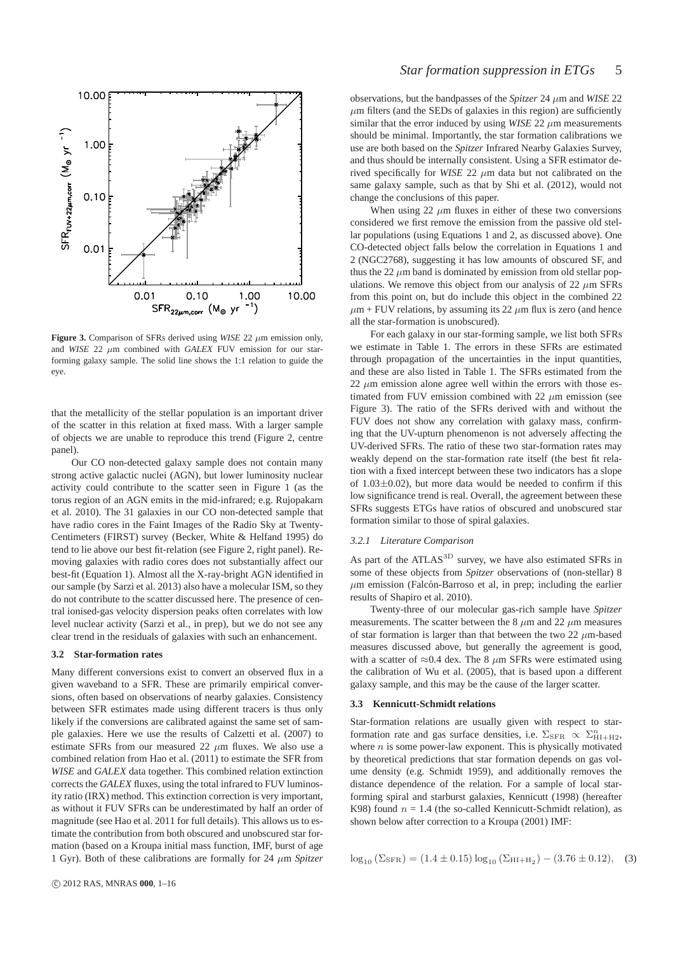

**Figure 3.** Comparison of SFRs derived using *WISE* 22 µm emission only, and *WISE* 22  $\mu$ m combined with *GALEX* FUV emission for our starforming galaxy sample. The solid line shows the 1:1 relation to guide the eye.

that the metallicity of the stellar population is an important driver of the scatter in this relation at fixed mass. With a larger sample of objects we are unable to reproduce this trend (Figure 2, centre panel).

Our CO non-detected galaxy sample does not contain many strong active galactic nuclei (AGN), but lower luminosity nuclear activity could contribute to the scatter seen in Figure 1 (as the torus region of an AGN emits in the mid-infrared; e.g. Rujopakarn et al. 2010). The 31 galaxies in our CO non-detected sample that have radio cores in the Faint Images of the Radio Sky at Twenty-Centimeters (FIRST) survey (Becker, White & Helfand 1995) do tend to lie above our best fit-relation (see Figure 2, right panel). Removing galaxies with radio cores does not substantially affect our best-fit (Equation 1). Almost all the X-ray-bright AGN identified in our sample (by Sarzi et al. 2013) also have a molecular ISM, so they do not contribute to the scatter discussed here. The presence of central ionised-gas velocity dispersion peaks often correlates with low level nuclear activity (Sarzi et al., in prep), but we do not see any clear trend in the residuals of galaxies with such an enhancement.

# **3.2 Star-formation rates**

Many different conversions exist to convert an observed flux in a given waveband to a SFR. These are primarily empirical conversions, often based on observations of nearby galaxies. Consistency between SFR estimates made using different tracers is thus only likely if the conversions are calibrated against the same set of sample galaxies. Here we use the results of Calzetti et al. (2007) to estimate SFRs from our measured 22  $\mu$ m fluxes. We also use a combined relation from Hao et al. (2011) to estimate the SFR from *WISE* and *GALEX* data together. This combined relation extinction corrects the *GALEX* fluxes, using the total infrared to FUV luminosity ratio (IRX) method. This extinction correction is very important, as without it FUV SFRs can be underestimated by half an order of magnitude (see Hao et al. 2011 for full details). This allows us to estimate the contribution from both obscured and unobscured star formation (based on a Kroupa initial mass function, IMF, burst of age 1 Gyr). Both of these calibrations are formally for 24 µm *Spitzer*

observations, but the bandpasses of the *Spitzer* 24 µm and *WISE* 22  $\mu$ m filters (and the SEDs of galaxies in this region) are sufficiently similar that the error induced by using  $WISE$  22  $\mu$ m measurements should be minimal. Importantly, the star formation calibrations we use are both based on the *Spitzer* Infrared Nearby Galaxies Survey, and thus should be internally consistent. Using a SFR estimator derived specifically for *WISE* 22  $\mu$ m data but not calibrated on the same galaxy sample, such as that by Shi et al. (2012), would not change the conclusions of this paper.

When using 22  $\mu$ m fluxes in either of these two conversions considered we first remove the emission from the passive old stellar populations (using Equations 1 and 2, as discussed above). One CO-detected object falls below the correlation in Equations 1 and 2 (NGC2768), suggesting it has low amounts of obscured SF, and thus the 22  $\mu$ m band is dominated by emission from old stellar populations. We remove this object from our analysis of 22  $\mu$ m SFRs from this point on, but do include this object in the combined 22  $\mu$ m + FUV relations, by assuming its 22  $\mu$ m flux is zero (and hence all the star-formation is unobscured).

For each galaxy in our star-forming sample, we list both SFRs we estimate in Table 1. The errors in these SFRs are estimated through propagation of the uncertainties in the input quantities, and these are also listed in Table 1. The SFRs estimated from the  $22 \mu m$  emission alone agree well within the errors with those estimated from FUV emission combined with 22  $\mu$ m emission (see Figure 3). The ratio of the SFRs derived with and without the FUV does not show any correlation with galaxy mass, confirming that the UV-upturn phenomenon is not adversely affecting the UV-derived SFRs. The ratio of these two star-formation rates may weakly depend on the star-formation rate itself (the best fit relation with a fixed intercept between these two indicators has a slope of  $1.03\pm0.02$ ), but more data would be needed to confirm if this low significance trend is real. Overall, the agreement between these SFRs suggests ETGs have ratios of obscured and unobscured star formation similar to those of spiral galaxies.

# *3.2.1 Literature Comparison*

As part of the ATLAS<sup>3D</sup> survey, we have also estimated SFRs in some of these objects from *Spitzer* observations of (non-stellar) 8  $\mu$ m emission (Falcón-Barroso et al, in prep; including the earlier results of Shapiro et al. 2010).

Twenty-three of our molecular gas-rich sample have *Spitzer* measurements. The scatter between the 8  $\mu$ m and 22  $\mu$ m measures of star formation is larger than that between the two 22  $\mu$ m-based measures discussed above, but generally the agreement is good, with a scatter of  $\approx 0.4$  dex. The 8  $\mu$ m SFRs were estimated using the calibration of Wu et al. (2005), that is based upon a different galaxy sample, and this may be the cause of the larger scatter.

#### **3.3 Kennicutt-Schmidt relations**

Star-formation relations are usually given with respect to starformation rate and gas surface densities, i.e.  $\Sigma_{\rm SFR} \propto \Sigma_{\rm HI+H2}^{n}$ , where  $n$  is some power-law exponent. This is physically motivated by theoretical predictions that star formation depends on gas volume density (e.g. Schmidt 1959), and additionally removes the distance dependence of the relation. For a sample of local starforming spiral and starburst galaxies, Kennicutt (1998) (hereafter K98) found  $n = 1.4$  (the so-called Kennicutt-Schmidt relation), as shown below after correction to a Kroupa (2001) IMF:

$$
\log_{10} (\Sigma_{\rm SFR}) = (1.4 \pm 0.15) \log_{10} (\Sigma_{\rm HI+H_2}) - (3.76 \pm 0.12), \quad (3)
$$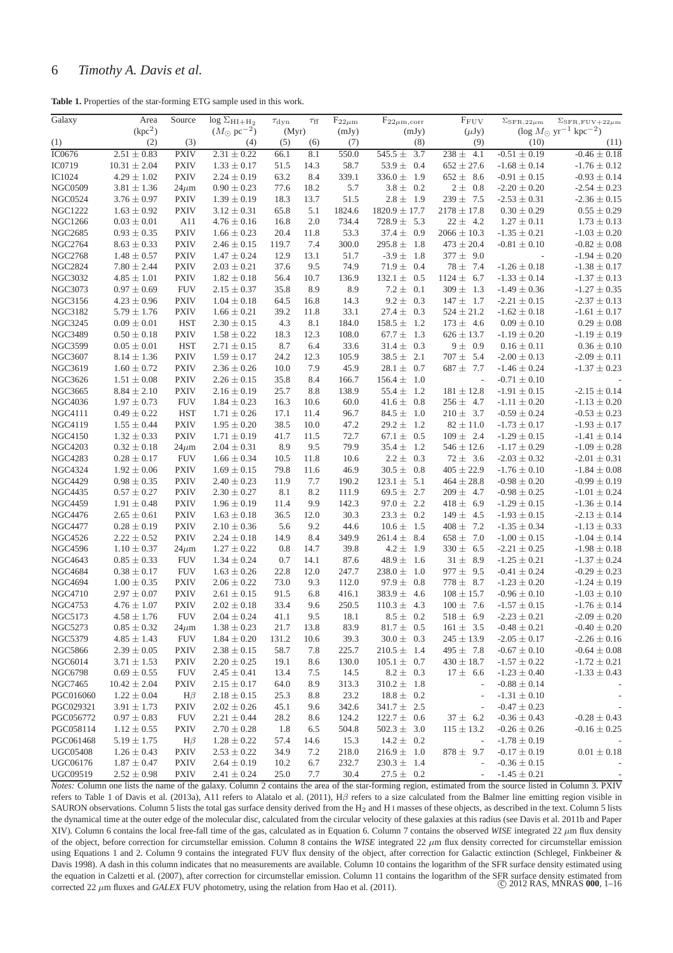**Table 1.** Properties of the star-forming ETG sample used in this work.

| Galaxy          | Area                | Source      | $\overline{\log \Sigma_{\rm HI+H_2}}$ | $\tau_{\rm dyn}$ | $\tau_{\rm ff}$ | $\rm{F}_{22\mu m}$ | $F_{22\mu m,corr}$ | $\rm F_{\rm FUV}$        | $\Sigma_{\rm SFR, 22 \mu m}$ | $\Sigma_{\rm SFR, FUV+22\mu m}$                     |
|-----------------|---------------------|-------------|---------------------------------------|------------------|-----------------|--------------------|--------------------|--------------------------|------------------------------|-----------------------------------------------------|
|                 | (kpc <sup>2</sup> ) |             | $(M_{\odot} \text{ pc}^{-2})$         | (Myr)            |                 | (mJy)              | (mJy)              | $(\mu Jy)$               |                              | $(\log M_{\odot} \text{ yr}^{-1} \text{ kpc}^{-2})$ |
| (1)             | (2)                 | (3)         | (4)                                   | (5)              | (6)             | (7)                | (8)                | (9)                      | (10)                         | (11)                                                |
| IC0676          | $2.51 \pm 0.83$     | <b>PXIV</b> | $2.31 \pm 0.22$                       | 66.1             | 8.1             | 550.0              | 545.5 $\pm$<br>3.7 | $238 \pm 4.1$            | $-0.51 \pm 0.19$             | $-0.46 \pm 0.18$                                    |
| IC0719          | $10.31 \pm 2.04$    | <b>PXIV</b> | $1.33 \pm 0.17$                       | 51.5             | 14.3            | 58.7               | 53.9 $\pm$ 0.4     | $652 \pm 27.6$           | $-1.68 \pm 0.14$             | $-1.76 \pm 0.12$                                    |
| IC1024          | $4.29 \pm 1.02$     | <b>PXIV</b> | $2.24 \pm 0.19$                       | 63.2             | 8.4             | 339.1              | $336.0 \pm 1.9$    | $652 \pm 8.6$            | $-0.91 \pm 0.15$             | $-0.93 \pm 0.14$                                    |
| <b>NGC0509</b>  | $3.81 \pm 1.36$     | $24 \mu m$  | $0.90 \pm 0.23$                       | 77.6             | 18.2            | 5.7                | $3.8 \pm 0.2$      | $2 \pm 0.8$              | -2.20 $\pm$ 0.20             | -2.54 $\pm$ 0.23                                    |
| <b>NGC0524</b>  | $3.76 \pm 0.97$     | <b>PXIV</b> | $1.39 \pm 0.19$                       | 18.3             | 13.7            | 51.5               | $2.8 \pm 1.9$      | $239 \pm 7.5$            | $-2.53 \pm 0.31$             | $-2.36 \pm 0.15$                                    |
| <b>NGC1222</b>  | $1.63 \pm 0.92$     | <b>PXIV</b> | $3.12 \pm 0.31$                       | 65.8             | 5.1             | 1824.6             | $1820.9 \pm 17.7$  | $2178 \pm 17.8$          | $0.30 \pm 0.29$              | $0.55 \pm 0.29$                                     |
| <b>NGC1266</b>  | $0.03 \pm 0.01$     | A11         | $4.76 \pm 0.16$                       | 16.8             | 2.0             | 734.4              | $728.9 \pm 5.3$    | $22 \pm 4.2$             | $1.27 \pm 0.11$              | $1.73 \pm 0.13$                                     |
| <b>NGC2685</b>  | $0.93 \pm 0.35$     | <b>PXIV</b> | $1.66 \pm 0.23$                       | 20.4             | 11.8            | 53.3               | $37.4 \pm 0.9$     | $2066 \pm 10.3$          | $-1.35 \pm 0.21$             | $-1.03 \pm 0.20$                                    |
| <b>NGC2764</b>  | $8.63 \pm 0.33$     | <b>PXIV</b> | $2.46 \pm 0.15$                       | 119.7            | 7.4             | 300.0              | $295.8 \pm 1.8$    | $473 \pm 20.4$           | $-0.81 \pm 0.10$             | $-0.82 \pm 0.08$                                    |
| <b>NGC2768</b>  | $1.48 \pm 0.57$     | <b>PXIV</b> | $1.47 \pm 0.24$                       | 12.9             | 13.1            | 51.7               | $-3.9 \pm 1.8$     | $377 \pm 9.0$            | $\overline{\phantom{a}}$     | $-1.94 \pm 0.20$                                    |
| <b>NGC2824</b>  | $7.80 \pm 2.44$     | <b>PXIV</b> | $2.03 \pm 0.21$                       | 37.6             | 9.5             | 74.9               | $71.9 \pm 0.4$     | $78 \pm 7.4$             | $-1.26 \pm 0.18$             | $-1.38 \pm 0.17$                                    |
| <b>NGC3032</b>  | $4.85 \pm 1.01$     | <b>PXIV</b> | $1.82 \pm 0.18$                       | 56.4             | 10.7            | 136.9              | $132.1 \pm 0.5$    | $1124 \pm 6.7$           | $-1.33 \pm 0.14$             | $-1.37 \pm 0.13$                                    |
| <b>NGC3073</b>  | $0.97 \pm 0.69$     | <b>FUV</b>  | $2.15 \pm 0.37$                       | 35.8             | 8.9             | 8.9                | $7.2 \pm 0.1$      | $309 \pm 1.3$            | $-1.49 \pm 0.36$             | $-1.27 \pm 0.35$                                    |
| <b>NGC3156</b>  | $4.23 \pm 0.96$     | <b>PXIV</b> | $1.04 \pm 0.18$                       | 64.5             | 16.8            | 14.3               | $9.2 \pm 0.3$      | $147\pm\phantom{0}1.7$   | $-2.21 \pm 0.15$             | $-2.37 \pm 0.13$                                    |
| <b>NGC3182</b>  | $5.79 \pm 1.76$     | <b>PXIV</b> | $1.66 \pm 0.21$                       | 39.2             | 11.8            | 33.1               | $27.4 \pm 0.3$     | $524 \pm 21.2$           | $-1.62 \pm 0.18$             | $-1.61 \pm 0.17$                                    |
| <b>NGC3245</b>  | $0.09 \pm 0.01$     | <b>HST</b>  | $2.30 \pm 0.15$                       | 4.3              | 8.1             | 184.0              | $158.5 \pm 1.2$    | $173 \pm 4.6$            | $0.09 \pm 0.10$              | $0.29\pm0.08$                                       |
| <b>NGC3489</b>  | $0.50\pm0.18$       | <b>PXIV</b> | $1.58 \pm 0.22$                       | 18.3             | 12.3            | 108.0              | $67.7 \pm 1.3$     | $626 \pm 13.7$           | $-1.19 \pm 0.20$             | $-1.19 \pm 0.19$                                    |
| <b>NGC3599</b>  | $0.05 \pm 0.01$     | <b>HST</b>  | $2.71 \pm 0.15$                       | 8.7              | 6.4             | 33.6               | $31.4 \pm 0.3$     | $9 \pm 0.9$              | $0.16 \pm 0.11$              | $0.36 \pm 0.10$                                     |
| <b>NGC3607</b>  | $8.14 \pm 1.36$     | <b>PXIV</b> | $1.59 \pm 0.17$                       | 24.2             | 12.3            | 105.9              | $38.5 \pm 2.1$     | $707 \pm 5.4$            | $-2.00 \pm 0.13$             | $-2.09 \pm 0.11$                                    |
| <b>NGC3619</b>  | $1.60 \pm 0.72$     | <b>PXIV</b> | $2.36 \pm 0.26$                       | 10.0             | 7.9             | 45.9               | $28.1 \pm 0.7$     | $687 + 7.7$              | $-1.46 \pm 0.24$             | $-1.37 \pm 0.23$                                    |
| <b>NGC3626</b>  | $1.51 \pm 0.08$     | <b>PXIV</b> | $2.26 \pm 0.15$                       | 35.8             | 8.4             | 166.7              | $156.4 \pm 1.0$    | $\overline{\phantom{a}}$ | $-0.71 \pm 0.10$             |                                                     |
| <b>NGC3665</b>  | $8.84 \pm 2.10$     | <b>PXIV</b> | $2.16 \pm 0.19$                       | 25.7             | 8.8             | 138.9              | $55.4 \pm 1.2$     | $181 \pm 12.8$           | $-1.91 \pm 0.15$             | $-2.15 \pm 0.14$                                    |
| <b>NGC4036</b>  | $1.97 \pm 0.73$     | <b>FUV</b>  | $1.84 \pm 0.23$                       | 16.3             | 10.6            | 60.0               | $41.6 \pm 0.8$     | $256 \pm 4.7$            | $-1.11 \pm 0.20$             | $-1.13 \pm 0.20$                                    |
| <b>NGC4111</b>  | $0.49 \pm 0.22$     | <b>HST</b>  | $1.71 \pm 0.26$                       | 17.1             | 11.4            | 96.7               | $84.5 \pm 1.0$     | $210 \pm 3.7$            | $-0.59 \pm 0.24$             | $-0.53 \pm 0.23$                                    |
| <b>NGC4119</b>  | $1.55 \pm 0.44$     | <b>PXIV</b> | $1.95 \pm 0.20$                       | 38.5             | 10.0            | 47.2               | $29.2 \pm 1.2$     | $82 \pm 11.0$            | $-1.73 \pm 0.17$             | $-1.93 \pm 0.17$                                    |
| <b>NGC4150</b>  | $1.32 \pm 0.33$     | <b>PXIV</b> | $1.71 \pm 0.19$                       | 41.7             | 11.5            | 72.7               | $67.1 \pm 0.5$     | $109 \pm 2.4$            | $-1.29 \pm 0.15$             | $-1.41 \pm 0.14$                                    |
| <b>NGC4203</b>  | $0.32 \pm 0.18$     | $24 \mu m$  | $2.04 \pm 0.31$                       | 8.9              | 9.5             | 79.9               | $35.4 \pm 1.2$     | $546\pm12.6$             | $-1.17 \pm 0.29$             | $-1.09 \pm 0.28$                                    |
| <b>NGC4283</b>  | $0.28 \pm 0.17$     | <b>FUV</b>  | $1.66 \pm 0.34$                       | 10.5             | 11.8            | 10.6               | $2.2 \pm 0.3$      | $72 \pm 3.6$             | $-2.03 \pm 0.32$             | $-2.01 \pm 0.31$                                    |
| <b>NGC4324</b>  | $1.92 \pm 0.06$     | <b>PXIV</b> | $1.69 \pm 0.15$                       | 79.8             | 11.6            | 46.9               | $30.5 \pm 0.8$     | $405 \pm 22.9$           | $-1.76 \pm 0.10$             | $-1.84 \pm 0.08$                                    |
| <b>NGC4429</b>  | $0.98 \pm 0.35$     | <b>PXIV</b> | $2.40 \pm 0.23$                       | 11.9             | 7.7             | 190.2              | $123.1 \pm 5.1$    | $464 \pm 28.8$           | $-0.98 \pm 0.20$             | $-0.99 \pm 0.19$                                    |
| <b>NGC4435</b>  | $0.57 \pm 0.27$     | <b>PXIV</b> | $2.30 \pm 0.27$                       | 8.1              | 8.2             | 111.9              | $69.5 \pm 2.7$     | $209 \pm 4.7$            | $-0.98 \pm 0.25$             | $-1.01 \pm 0.24$                                    |
| <b>NGC4459</b>  | $1.91 \pm 0.48$     | <b>PXIV</b> | $1.96 \pm 0.19$                       | 11.4             | 9.9             | 142.3              | $97.0 \pm 2.2$     | $418 \pm 6.9$            | $-1.29 \pm 0.15$             | $-1.36 \pm 0.14$                                    |
| NGC4476         | $2.65 \pm 0.61$     | <b>PXIV</b> | $1.63 \pm 0.18$                       | 36.5             | 12.0            | 30.3               | $23.3 \pm 0.2$     | $149 \pm 4.5$            | $-1.93 \pm 0.15$             | $-2.13 \pm 0.14$                                    |
| <b>NGC4477</b>  | $0.28 \pm 0.19$     | <b>PXIV</b> | $2.10 \pm 0.36$                       | 5.6              | 9.2             | 44.6               | $10.6 \pm 1.5$     | $408 \pm 7.2$            | $-1.35 \pm 0.34$             | $-1.13 \pm 0.33$                                    |
| <b>NGC4526</b>  | $2.22 \pm 0.52$     | <b>PXIV</b> | $2.24 \pm 0.18$                       | 14.9             | 8.4             | 349.9              | $261.4 \pm 8.4$    | $658 \pm 7.0$            | $-1.00 \pm 0.15$             | $-1.04 \pm 0.14$                                    |
| <b>NGC4596</b>  | $1.10 \pm 0.37$     | $24 \mu m$  | $1.27 \pm 0.22$                       | 0.8              | 14.7            | 39.8               | $4.2 \pm 1.9$      | $330 \pm 6.5$            | $-2.21 \pm 0.25$             | $-1.98 \pm 0.18$                                    |
| <b>NGC4643</b>  | $0.85 \pm 0.33$     | <b>FUV</b>  | $1.34 \pm 0.24$                       | 0.7              | 14.1            | 87.6               | $48.9 \pm 1.6$     | $31 \pm 8.9$             | $-1.25 \pm 0.21$             | $-1.37 \pm 0.24$                                    |
| <b>NGC4684</b>  | $0.38 \pm 0.17$     | <b>FUV</b>  | $1.63 \pm 0.26$                       | 22.8             | 12.0            | 247.7              | $238.0 \pm 1.0$    | $977 \pm 9.5$            | $-0.41 \pm 0.24$             | $-0.29 \pm 0.23$                                    |
| <b>NGC4694</b>  | $1.00 \pm 0.35$     | <b>PXIV</b> | $2.06 \pm 0.22$                       | 73.0             | 9.3             | 112.0              | $97.9 \pm 0.8$     | $778 \pm 8.7$            | $-1.23 \pm 0.20$             | $-1.24 \pm 0.19$                                    |
| <b>NGC4710</b>  | $2.97 \pm 0.07$     | <b>PXIV</b> | $2.61 \pm 0.15$                       | 91.5             | 6.8             | 416.1              | $383.9 \pm 4.6$    | $108 \pm 15.7$           | $-0.96 \pm 0.10$             | $-1.03 \pm 0.10$                                    |
| <b>NGC4753</b>  | $4.76 \pm 1.07$     | <b>PXIV</b> | $2.02 \pm 0.18$                       | 33.4             | 9.6             | 250.5              | $110.3 \pm 4.3$    | $100 \pm 7.6$            | $-1.57 \pm 0.15$             | $-1.76 \pm 0.14$                                    |
| <b>NGC5173</b>  | $4.58 \pm 1.76$     | <b>FUV</b>  | $2.04 \pm 0.24$                       | 41.1             | 9.5             | 18.1               | $8.5 \pm 0.2$      | $518 \pm 6.9$            | $-2.23 \pm 0.21$             | $-2.09 \pm 0.20$                                    |
| <b>NGC5273</b>  | $0.85 \pm 0.32$     | $24 \mu m$  | $1.38 \pm 0.23$                       | 21.7             | 13.8            | 83.9               | $81.7 \pm 0.5$     | $161 \pm 3.5$            | $-0.48 \pm 0.21$             | $-0.40 \pm 0.20$                                    |
| <b>NGC5379</b>  | $4.85 \pm 1.43$     | <b>FUV</b>  | $1.84 \pm 0.20$                       | 131.2            | 10.6            | 39.3               | $30.0 \pm 0.3$     | $245 \pm 13.9$           | $-2.05 \pm 0.17$             | $-2.26 \pm 0.16$                                    |
| <b>NGC5866</b>  | $2.39 \pm 0.05$     | <b>PXIV</b> | $2.38 \pm 0.15$                       | 58.7             | 7.8             | 225.7              | $210.5 \pm 1.4$    | $495 \pm 7.8$            | -0.67 $\pm$ 0.10             | $-0.64 \pm 0.08$                                    |
| <b>NGC6014</b>  | $3.71 \pm 1.53$     | PXIV        | $2.20 \pm 0.25$                       | 19.1             | 8.6             | 130.0              | $105.1 \pm 0.7$    | $430 \pm 18.7$           | $-1.57 \pm 0.22$             | $-1.72 \pm 0.21$                                    |
| <b>NGC6798</b>  | $0.69 \pm 0.55$     | <b>FUV</b>  | $2.45 \pm 0.41$                       | 13.4             | 7.5             | 14.5               | $8.2 \pm 0.3$      | $17 \pm 6.6$             | $-1.23\pm0.40$               | $-1.33 \pm 0.43$                                    |
| NGC7465         | $10.42 \pm 2.04$    | <b>PXIV</b> | $2.15 \pm 0.17$                       | 64.0             | 8.9             | 313.3              | $310.2 \pm 1.8$    | $\overline{\phantom{a}}$ | $-0.88 \pm 0.14$             |                                                     |
| PGC016060       | $1.22 \pm 0.04$     | $H\beta$    | $2.18 \pm 0.15$                       | 25.3             | 8.8             | 23.2               | $18.8 \pm 0.2$     | $\overline{\phantom{a}}$ | $-1.31 \pm 0.10$             | $\overline{a}$                                      |
| PGC029321       | $3.91 \pm 1.73$     | <b>PXIV</b> | $2.02 \pm 0.26$                       | 45.1             | 9.6             | 342.6              | $341.7 \pm 2.5$    | $\overline{\phantom{a}}$ | $-0.47 \pm 0.23$             |                                                     |
| PGC056772       | $0.97 \pm 0.83$     | <b>FUV</b>  | $2.21 \pm 0.44$                       | 28.2             | 8.6             | 124.2              | $122.7 \pm 0.6$    | $37 \pm 6.2$             | $-0.36 \pm 0.43$             | $-0.28 \pm 0.43$                                    |
| PGC058114       | $1.12 \pm 0.55$     | <b>PXIV</b> | $2.70 \pm 0.28$                       | 1.8              | 6.5             | 504.8              | $502.3 \pm 3.0$    | $115 \pm 13.2$           | $-0.26 \pm 0.26$             | $-0.16 \pm 0.25$                                    |
| PGC061468       | $5.19 \pm 1.75$     | $H\beta$    | $1.28 \pm 0.22$                       | 57.4             | 14.6            | 15.3               | $14.2 \pm 0.2$     | $\overline{\phantom{a}}$ | $-1.78 \pm 0.19$             |                                                     |
| <b>UGC05408</b> | $1.26 \pm 0.43$     | <b>PXIV</b> | $2.53 \pm 0.22$                       | 34.9             | 7.2             | 218.0              | $216.9 \pm 1.0$    | $878 \pm 9.7$            | $-0.17 \pm 0.19$             | $0.01 \pm 0.18$                                     |
| <b>UGC06176</b> | $1.87 \pm 0.47$     | <b>PXIV</b> | $2.64 \pm 0.19$                       | 10.2             | 6.7             | 232.7              | $230.3 \pm 1.4$    | $\overline{\phantom{a}}$ | $-0.36 \pm 0.15$             |                                                     |
| UGC09519        | $2.52 \pm 0.98$     | <b>PXIV</b> | $2.41 \pm 0.24$                       | 25.0             | 7.7             | 30.4               | $27.5 \pm 0.2$     | $\bar{\phantom{a}}$      | $-1.45 \pm 0.21$             |                                                     |

*Notes:* Column one lists the name of the galaxy. Column 2 contains the area of the star-forming region, estimated from the source listed in Column 3. PXIV refers to Table 1 of Davis et al. (2013a), A11 refers to Alatalo et al. (2011), Hβ refers to a size calculated from the Balmer line emitting region visible in SAURON observations. Column 5 lists the total gas surface density derived from the H<sup>2</sup> and H I masses of these objects, as described in the text. Column 5 lists the dynamical time at the outer edge of the molecular disc, calculated from the circular velocity of these galaxies at this radius (see Davis et al. 2011b and Paper XIV). Column 6 contains the local free-fall time of the gas, calculated as in Equation 6. Column 7 contains the observed *WISE* integrated 22  $\mu$ m flux density of the object, before correction for circumstellar emission. Column 8 contains the  $WISE$  integrated 22  $\mu$ m flux density corrected for circumstellar emission using Equations 1 and 2. Column 9 contains the integrated FUV flux density of the object, after correction for Galactic extinction (Schlegel, Finkbeiner & Davis 1998). A dash in this column indicates that no measurements are available. Column 10 contains the logarithm of the SFR surface density estimated using the equation in Calzetti et al. (2007), after correction for circumstellar emission. Column 11 contains the logarithm of the SFR surface density estimated from corrected 22  $\mu$ m fluxes and GALEX FUV photometry, using the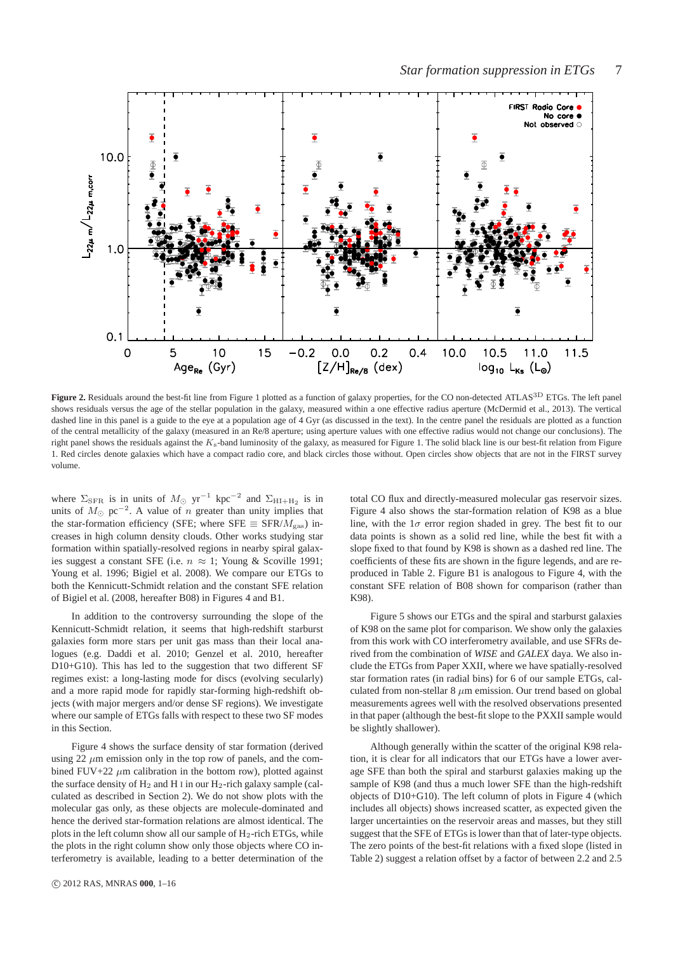

Figure 2. Residuals around the best-fit line from Figure 1 plotted as a function of galaxy properties, for the CO non-detected ATLAS<sup>3D</sup> ETGs. The left panel shows residuals versus the age of the stellar population in the galaxy, measured within a one effective radius aperture (McDermid et al., 2013). The vertical dashed line in this panel is a guide to the eye at a population age of 4 Gyr (as discussed in the text). In the centre panel the residuals are plotted as a function of the central metallicity of the galaxy (measured in an Re/8 aperture; using aperture values with one effective radius would not change our conclusions). The right panel shows the residuals against the  $K<sub>s</sub>$ -band luminosity of the galaxy, as measured for Figure 1. The solid black line is our best-fit relation from Figure 1. Red circles denote galaxies which have a compact radio core, and black circles those without. Open circles show objects that are not in the FIRST survey volume.

where  $\Sigma_{\rm SFR}$  is in units of  $M_{\odot}$  yr<sup>-1</sup> kpc<sup>-2</sup> and  $\Sigma_{\rm HI+H_2}$  is in units of  $M_{\odot}$  pc<sup>-2</sup>. A value of n greater than unity implies that the star-formation efficiency (SFE; where SFE  $\equiv$  SFR/ $M_{\text{gas}}$ ) increases in high column density clouds. Other works studying star formation within spatially-resolved regions in nearby spiral galaxies suggest a constant SFE (i.e.  $n \approx 1$ ; Young & Scoville 1991; Young et al. 1996; Bigiel et al. 2008). We compare our ETGs to both the Kennicutt-Schmidt relation and the constant SFE relation of Bigiel et al. (2008, hereafter B08) in Figures 4 and B1.

In addition to the controversy surrounding the slope of the Kennicutt-Schmidt relation, it seems that high-redshift starburst galaxies form more stars per unit gas mass than their local analogues (e.g. Daddi et al. 2010; Genzel et al. 2010, hereafter D10+G10). This has led to the suggestion that two different SF regimes exist: a long-lasting mode for discs (evolving secularly) and a more rapid mode for rapidly star-forming high-redshift objects (with major mergers and/or dense SF regions). We investigate where our sample of ETGs falls with respect to these two SF modes in this Section.

Figure 4 shows the surface density of star formation (derived using 22  $\mu$ m emission only in the top row of panels, and the combined FUV+22  $\mu$ m calibration in the bottom row), plotted against the surface density of  $H_2$  and H I in our  $H_2$ -rich galaxy sample (calculated as described in Section 2). We do not show plots with the molecular gas only, as these objects are molecule-dominated and hence the derived star-formation relations are almost identical. The plots in the left column show all our sample of  $H_2$ -rich ETGs, while the plots in the right column show only those objects where CO interferometry is available, leading to a better determination of the

total CO flux and directly-measured molecular gas reservoir sizes. Figure 4 also shows the star-formation relation of K98 as a blue line, with the  $1\sigma$  error region shaded in grey. The best fit to our data points is shown as a solid red line, while the best fit with a slope fixed to that found by K98 is shown as a dashed red line. The coefficients of these fits are shown in the figure legends, and are reproduced in Table 2. Figure B1 is analogous to Figure 4, with the constant SFE relation of B08 shown for comparison (rather than K98).

Figure 5 shows our ETGs and the spiral and starburst galaxies of K98 on the same plot for comparison. We show only the galaxies from this work with CO interferometry available, and use SFRs derived from the combination of *WISE* and *GALEX* daya. We also include the ETGs from Paper XXII, where we have spatially-resolved star formation rates (in radial bins) for 6 of our sample ETGs, calculated from non-stellar  $8 \mu m$  emission. Our trend based on global measurements agrees well with the resolved observations presented in that paper (although the best-fit slope to the PXXII sample would be slightly shallower).

Although generally within the scatter of the original K98 relation, it is clear for all indicators that our ETGs have a lower average SFE than both the spiral and starburst galaxies making up the sample of K98 (and thus a much lower SFE than the high-redshift objects of D10+G10). The left column of plots in Figure 4 (which includes all objects) shows increased scatter, as expected given the larger uncertainties on the reservoir areas and masses, but they still suggest that the SFE of ETGs is lower than that of later-type objects. The zero points of the best-fit relations with a fixed slope (listed in Table 2) suggest a relation offset by a factor of between 2.2 and 2.5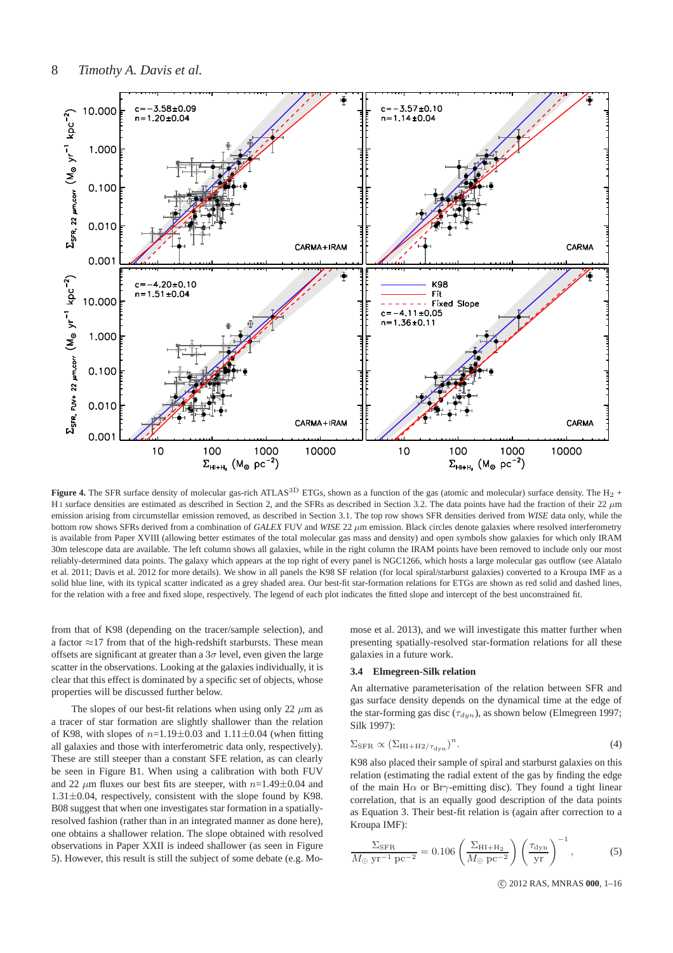

**Figure 4.** The SFR surface density of molecular gas-rich ATLAS<sup>3D</sup> ETGs, shown as a function of the gas (atomic and molecular) surface density. The H<sub>2</sub> + HI surface densities are estimated as described in Section 2, and the SFRs as described in Section 3.2. The data points have had the fraction of their 22  $\mu$ m emission arising from circumstellar emission removed, as described in Section 3.1. The top row shows SFR densities derived from *WISE* data only, while the bottom row shows SFRs derived from a combination of *GALEX* FUV and *WISE* 22 µm emission. Black circles denote galaxies where resolved interferometry is available from Paper XVIII (allowing better estimates of the total molecular gas mass and density) and open symbols show galaxies for which only IRAM 30m telescope data are available. The left column shows all galaxies, while in the right column the IRAM points have been removed to include only our most reliably-determined data points. The galaxy which appears at the top right of every panel is NGC1266, which hosts a large molecular gas outflow (see Alatalo et al. 2011; Davis et al. 2012 for more details). We show in all panels the K98 SF relation (for local spiral/starburst galaxies) converted to a Kroupa IMF as a solid blue line, with its typical scatter indicated as a grey shaded area. Our best-fit star-formation relations for ETGs are shown as red solid and dashed lines, for the relation with a free and fixed slope, respectively. The legend of each plot indicates the fitted slope and intercept of the best unconstrained fit.

from that of K98 (depending on the tracer/sample selection), and a factor ≈17 from that of the high-redshift starbursts. These mean offsets are significant at greater than a  $3\sigma$  level, even given the large scatter in the observations. Looking at the galaxies individually, it is clear that this effect is dominated by a specific set of objects, whose properties will be discussed further below.

The slopes of our best-fit relations when using only 22  $\mu$ m as a tracer of star formation are slightly shallower than the relation of K98, with slopes of  $n=1.19\pm0.03$  and  $1.11\pm0.04$  (when fitting all galaxies and those with interferometric data only, respectively). These are still steeper than a constant SFE relation, as can clearly be seen in Figure B1. When using a calibration with both FUV and 22  $\mu$ m fluxes our best fits are steeper, with  $n=1.49\pm0.04$  and 1.31±0.04, respectively, consistent with the slope found by K98. B08 suggest that when one investigates star formation in a spatiallyresolved fashion (rather than in an integrated manner as done here), one obtains a shallower relation. The slope obtained with resolved observations in Paper XXII is indeed shallower (as seen in Figure 5). However, this result is still the subject of some debate (e.g. Momose et al. 2013), and we will investigate this matter further when presenting spatially-resolved star-formation relations for all these galaxies in a future work.

# **3.4 Elmegreen-Silk relation**

An alternative parameterisation of the relation between SFR and gas surface density depends on the dynamical time at the edge of the star-forming gas disc ( $\tau_{dyn}$ ), as shown below (Elmegreen 1997; Silk 1997):

$$
\Sigma_{\rm SFR} \propto \left(\Sigma_{\rm HI+H2/\tau_{\rm dyn}}\right)^n. \tag{4}
$$

K98 also placed their sample of spiral and starburst galaxies on this relation (estimating the radial extent of the gas by finding the edge of the main H $\alpha$  or Br $\gamma$ -emitting disc). They found a tight linear correlation, that is an equally good description of the data points as Equation 3. Their best-fit relation is (again after correction to a Kroupa IMF):

$$
\frac{\Sigma_{\rm SFR}}{M_{\odot} \text{ yr}^{-1} \text{ pc}^{-2}} = 0.106 \left( \frac{\Sigma_{\rm HI+H_2}}{M_{\odot} \text{ pc}^{-2}} \right) \left( \frac{\tau_{\rm dyn}}{\text{yr}} \right)^{-1}, \tag{5}
$$

c 2012 RAS, MNRAS **000**, 1–16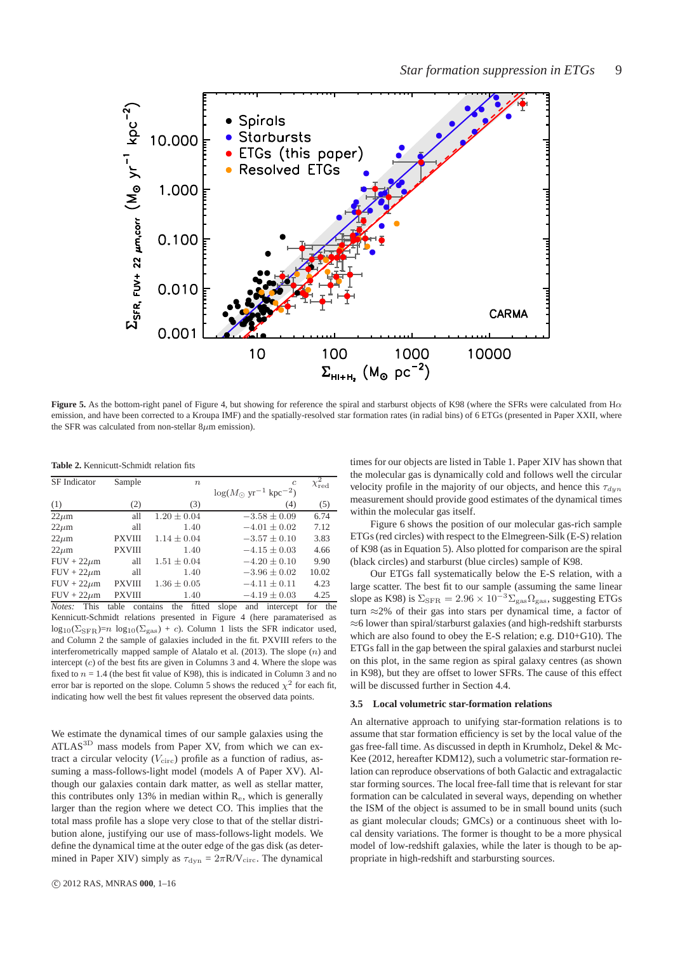

**Figure 5.** As the bottom-right panel of Figure 4, but showing for reference the spiral and starburst objects of K98 (where the SFRs were calculated from H $\alpha$ emission, and have been corrected to a Kroupa IMF) and the spatially-resolved star formation rates (in radial bins) of 6 ETGs (presented in Paper XXII, where the SFR was calculated from non-stellar  $8\mu$ m emission).

**Table 2.** Kennicutt-Schmidt relation fits

| <b>SF</b> Indicator | Sample        | $\boldsymbol{n}$ | $\mathcal{C}$                                      | $\chi^2_\mathrm{red}$ |
|---------------------|---------------|------------------|----------------------------------------------------|-----------------------|
|                     |               |                  | $\log(M_{\odot} \text{ yr}^{-1} \text{ kpc}^{-2})$ |                       |
| (1)                 | (2)           | (3)              | (4)                                                | (5)                   |
| $22 \mu m$          | all           | $1.20 \pm 0.04$  | $-3.58 \pm 0.09$                                   | 6.74                  |
| $22 \mu m$          | all           | 1.40             | $-4.01 \pm 0.02$                                   | 7.12                  |
| $22 \mu m$          | <b>PXVIII</b> | $1.14 \pm 0.04$  | $-3.57 \pm 0.10$                                   | 3.83                  |
| $22 \mu m$          | <b>PXVIII</b> | 1.40             | $-4.15 \pm 0.03$                                   | 4.66                  |
| $FUV + 22 \mu m$    | all           | $1.51 \pm 0.04$  | $-4.20 \pm 0.10$                                   | 9.90                  |
| $FUV + 22 \mu m$    | all           | 1.40             | $-3.96 \pm 0.02$                                   | 10.02                 |
| $FUV + 22 \mu m$    | <b>PXVIII</b> | $1.36 \pm 0.05$  | $-4.11 \pm 0.11$                                   | 4.23                  |
| $FUV + 22 \mu m$    | <b>PXVIII</b> | 1.40             | $-4.19 \pm 0.03$                                   | 4.25                  |

*Notes:* This table contains the fitted slope and intercept for the Kennicutt-Schmidt relations presented in Figure 4 (here paramaterised as  $log_{10}(\Sigma_{\rm SFR})=n log_{10}(\Sigma_{\rm gas}) + c$ ). Column 1 lists the SFR indicator used, and Column 2 the sample of galaxies included in the fit. PXVIII refers to the interferometrically mapped sample of Alatalo et al.  $(2013)$ . The slope  $(n)$  and intercept (c) of the best fits are given in Columns 3 and 4. Where the slope was fixed to  $n = 1.4$  (the best fit value of K98), this is indicated in Column 3 and no error bar is reported on the slope. Column 5 shows the reduced  $\chi^2$  for each fit, indicating how well the best fit values represent the observed data points.

We estimate the dynamical times of our sample galaxies using the ATLAS3D mass models from Paper XV, from which we can extract a circular velocity ( $V_{\text{circ}}$ ) profile as a function of radius, assuming a mass-follows-light model (models A of Paper XV). Although our galaxies contain dark matter, as well as stellar matter, this contributes only 13% in median within  $R_e$ , which is generally larger than the region where we detect CO. This implies that the total mass profile has a slope very close to that of the stellar distribution alone, justifying our use of mass-follows-light models. We define the dynamical time at the outer edge of the gas disk (as determined in Paper XIV) simply as  $\tau_{dyn} = 2\pi R/V_{circ}$ . The dynamical

times for our objects are listed in Table 1. Paper XIV has shown that the molecular gas is dynamically cold and follows well the circular velocity profile in the majority of our objects, and hence this  $\tau_{dyn}$ measurement should provide good estimates of the dynamical times within the molecular gas itself.

Figure 6 shows the position of our molecular gas-rich sample ETGs (red circles) with respect to the Elmegreen-Silk (E-S) relation of K98 (as in Equation 5). Also plotted for comparison are the spiral (black circles) and starburst (blue circles) sample of K98.

Our ETGs fall systematically below the E-S relation, with a large scatter. The best fit to our sample (assuming the same linear slope as K98) is  $\Sigma_{\rm SFR} = 2.96 \times 10^{-3} \Sigma_{\rm gas} \Omega_{\rm gas}$ , suggesting ETGs turn ≈2% of their gas into stars per dynamical time, a factor of ≈6 lower than spiral/starburst galaxies (and high-redshift starbursts which are also found to obey the E-S relation; e.g. D10+G10). The ETGs fall in the gap between the spiral galaxies and starburst nuclei on this plot, in the same region as spiral galaxy centres (as shown in K98), but they are offset to lower SFRs. The cause of this effect will be discussed further in Section 4.4.

#### **3.5 Local volumetric star-formation relations**

An alternative approach to unifying star-formation relations is to assume that star formation efficiency is set by the local value of the gas free-fall time. As discussed in depth in Krumholz, Dekel & Mc-Kee (2012, hereafter KDM12), such a volumetric star-formation relation can reproduce observations of both Galactic and extragalactic star forming sources. The local free-fall time that is relevant for star formation can be calculated in several ways, depending on whether the ISM of the object is assumed to be in small bound units (such as giant molecular clouds; GMCs) or a continuous sheet with local density variations. The former is thought to be a more physical model of low-redshift galaxies, while the later is though to be appropriate in high-redshift and starbursting sources.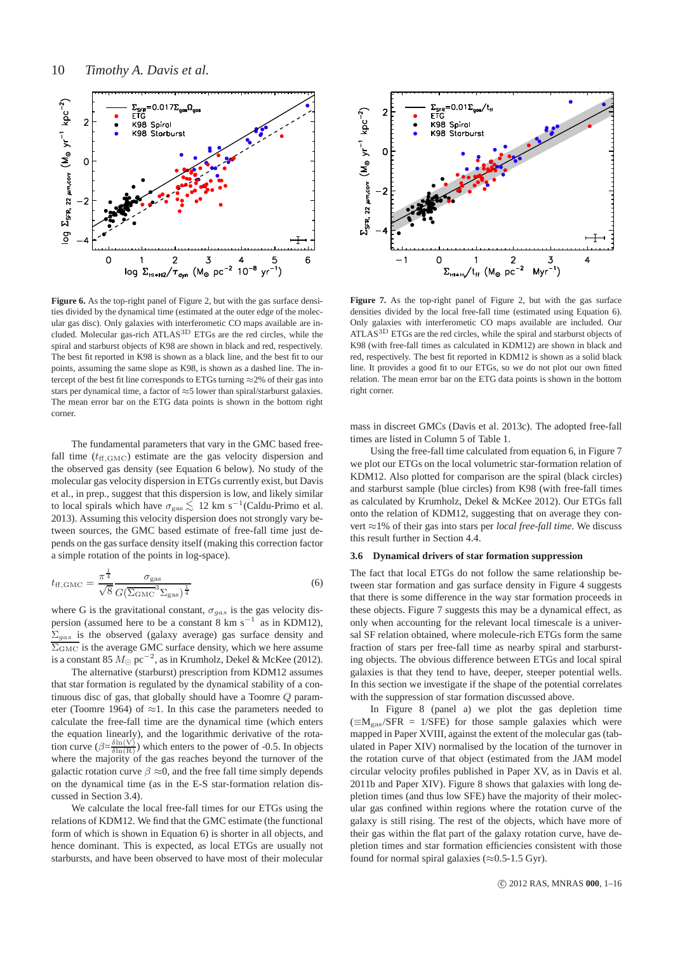

**Figure 6.** As the top-right panel of Figure 2, but with the gas surface densities divided by the dynamical time (estimated at the outer edge of the molecular gas disc). Only galaxies with interferometic CO maps available are included. Molecular gas-rich ATLAS<sup>3D</sup> ETGs are the red circles, while the spiral and starburst objects of K98 are shown in black and red, respectively. The best fit reported in K98 is shown as a black line, and the best fit to our points, assuming the same slope as K98, is shown as a dashed line. The intercept of the best fit line corresponds to ETGs turning  $\approx$ 2% of their gas into stars per dynamical time, a factor of  $\approx$ 5 lower than spiral/starburst galaxies. The mean error bar on the ETG data points is shown in the bottom right corner.

The fundamental parameters that vary in the GMC based freefall time  $(t_{\rm ff,GMC})$  estimate are the gas velocity dispersion and the observed gas density (see Equation 6 below). No study of the molecular gas velocity dispersion in ETGs currently exist, but Davis et al., in prep., suggest that this dispersion is low, and likely similar to local spirals which have  $\sigma_{\text{gas}} \lesssim 12 \text{ km s}^{-1}$  (Caldu-Primo et al. 2013). Assuming this velocity dispersion does not strongly vary between sources, the GMC based estimate of free-fall time just depends on the gas surface density itself (making this correction factor a simple rotation of the points in log-space).

$$
t_{\rm ff,GMC} = \frac{\pi^{\frac{1}{4}}}{\sqrt{8}} \frac{\sigma_{\rm gas}}{G(\overline{\Sigma_{\rm GMC}}^3 \Sigma_{\rm gas})^{\frac{1}{4}}}
$$
(6)

where G is the gravitational constant,  $\sigma_{gas}$  is the gas velocity dispersion (assumed here to be a constant  $8 \text{ km s}^{-1}$  as in KDM12),  $\Sigma_{gas}$  is the observed (galaxy average) gas surface density and  $\overline{\Sigma_{\rm GMC}}$  is the average GMC surface density, which we here assume is a constant 85  $M_{\odot}$  pc<sup>-2</sup>, as in Krumholz, Dekel & McKee (2012).

The alternative (starburst) prescription from KDM12 assumes that star formation is regulated by the dynamical stability of a continuous disc of gas, that globally should have a Toomre Q parameter (Toomre 1964) of  $\approx$ 1. In this case the parameters needed to calculate the free-fall time are the dynamical time (which enters the equation linearly), and the logarithmic derivative of the rotation curve  $(\beta = \frac{\delta \ln(V)}{\delta \ln(R)})$  which enters to the power of -0.5. In objects where the majority of the gas reaches beyond the turnover of the galactic rotation curve  $\beta \approx 0$ , and the free fall time simply depends on the dynamical time (as in the E-S star-formation relation discussed in Section 3.4).

We calculate the local free-fall times for our ETGs using the relations of KDM12. We find that the GMC estimate (the functional form of which is shown in Equation 6) is shorter in all objects, and hence dominant. This is expected, as local ETGs are usually not starbursts, and have been observed to have most of their molecular



**Figure 7.** As the top-right panel of Figure 2, but with the gas surface densities divided by the local free-fall time (estimated using Equation 6). Only galaxies with interferometic CO maps available are included. Our ATLAS3D ETGs are the red circles, while the spiral and starburst objects of K98 (with free-fall times as calculated in KDM12) are shown in black and red, respectively. The best fit reported in KDM12 is shown as a solid black line. It provides a good fit to our ETGs, so we do not plot our own fitted relation. The mean error bar on the ETG data points is shown in the bottom right corner.

mass in discreet GMCs (Davis et al. 2013c). The adopted free-fall times are listed in Column 5 of Table 1.

Using the free-fall time calculated from equation 6, in Figure 7 we plot our ETGs on the local volumetric star-formation relation of KDM12. Also plotted for comparison are the spiral (black circles) and starburst sample (blue circles) from K98 (with free-fall times as calculated by Krumholz, Dekel & McKee 2012). Our ETGs fall onto the relation of KDM12, suggesting that on average they convert ≈1% of their gas into stars per *local free-fall time*. We discuss this result further in Section 4.4.

# **3.6 Dynamical drivers of star formation suppression**

The fact that local ETGs do not follow the same relationship between star formation and gas surface density in Figure 4 suggests that there is some difference in the way star formation proceeds in these objects. Figure 7 suggests this may be a dynamical effect, as only when accounting for the relevant local timescale is a universal SF relation obtained, where molecule-rich ETGs form the same fraction of stars per free-fall time as nearby spiral and starbursting objects. The obvious difference between ETGs and local spiral galaxies is that they tend to have, deeper, steeper potential wells. In this section we investigate if the shape of the potential correlates with the suppression of star formation discussed above.

In Figure 8 (panel a) we plot the gas depletion time  $(\equiv M_{\text{gas}}/SFR = 1/SFE)$  for those sample galaxies which were mapped in Paper XVIII, against the extent of the molecular gas (tabulated in Paper XIV) normalised by the location of the turnover in the rotation curve of that object (estimated from the JAM model circular velocity profiles published in Paper XV, as in Davis et al. 2011b and Paper XIV). Figure 8 shows that galaxies with long depletion times (and thus low SFE) have the majority of their molecular gas confined within regions where the rotation curve of the galaxy is still rising. The rest of the objects, which have more of their gas within the flat part of the galaxy rotation curve, have depletion times and star formation efficiencies consistent with those found for normal spiral galaxies ( $\approx 0.5$ -1.5 Gyr).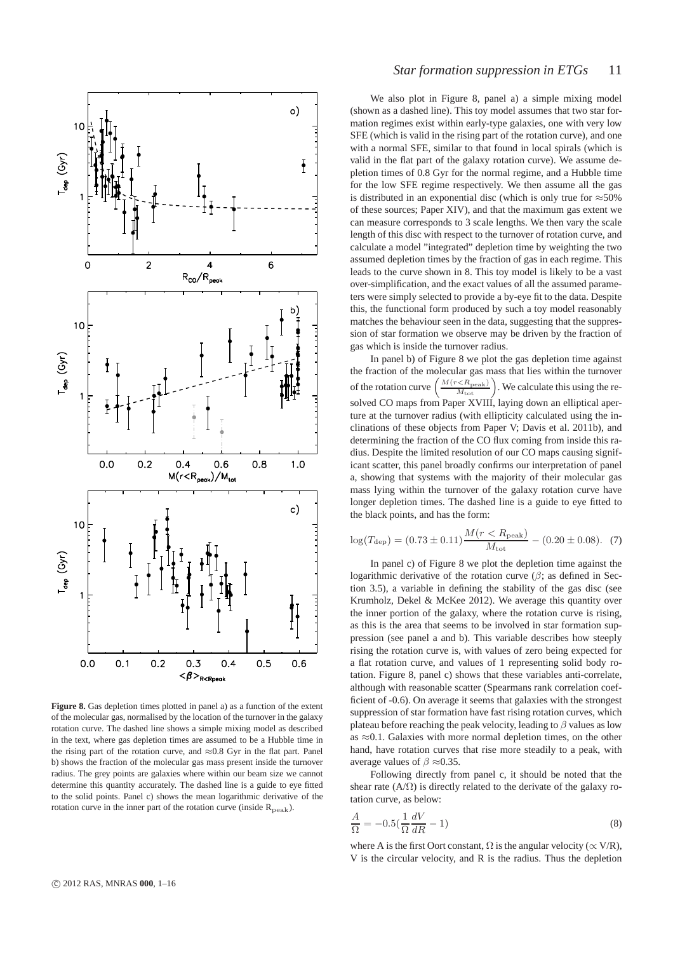

**Figure 8.** Gas depletion times plotted in panel a) as a function of the extent of the molecular gas, normalised by the location of the turnover in the galaxy rotation curve. The dashed line shows a simple mixing model as described in the text, where gas depletion times are assumed to be a Hubble time in the rising part of the rotation curve, and  $\approx 0.8$  Gyr in the flat part. Panel b) shows the fraction of the molecular gas mass present inside the turnover radius. The grey points are galaxies where within our beam size we cannot determine this quantity accurately. The dashed line is a guide to eye fitted to the solid points. Panel c) shows the mean logarithmic derivative of the rotation curve in the inner part of the rotation curve (inside  $R_{peak}$ ).

We also plot in Figure 8, panel a) a simple mixing model (shown as a dashed line). This toy model assumes that two star formation regimes exist within early-type galaxies, one with very low SFE (which is valid in the rising part of the rotation curve), and one with a normal SFE, similar to that found in local spirals (which is valid in the flat part of the galaxy rotation curve). We assume depletion times of 0.8 Gyr for the normal regime, and a Hubble time for the low SFE regime respectively. We then assume all the gas is distributed in an exponential disc (which is only true for  $\approx$  50% of these sources; Paper XIV), and that the maximum gas extent we can measure corresponds to 3 scale lengths. We then vary the scale length of this disc with respect to the turnover of rotation curve, and calculate a model "integrated" depletion time by weighting the two assumed depletion times by the fraction of gas in each regime. This leads to the curve shown in 8. This toy model is likely to be a vast over-simplification, and the exact values of all the assumed parameters were simply selected to provide a by-eye fit to the data. Despite this, the functional form produced by such a toy model reasonably matches the behaviour seen in the data, suggesting that the suppression of star formation we observe may be driven by the fraction of gas which is inside the turnover radius.

In panel b) of Figure 8 we plot the gas depletion time against the fraction of the molecular gas mass that lies within the turnover of the rotation curve  $\frac{M(r < R_{\text{peak}})}{M_{\text{tot}}}$ . We calculate this using the resolved CO maps from Paper XVIII, laying down an elliptical aperture at the turnover radius (with ellipticity calculated using the inclinations of these objects from Paper V; Davis et al. 2011b), and determining the fraction of the CO flux coming from inside this radius. Despite the limited resolution of our CO maps causing significant scatter, this panel broadly confirms our interpretation of panel a, showing that systems with the majority of their molecular gas mass lying within the turnover of the galaxy rotation curve have longer depletion times. The dashed line is a guide to eye fitted to the black points, and has the form:

$$
\log(T_{\rm dep}) = (0.73 \pm 0.11) \frac{M(r < R_{\rm peak})}{M_{\rm tot}} - (0.20 \pm 0.08). \tag{7}
$$

In panel c) of Figure 8 we plot the depletion time against the logarithmic derivative of the rotation curve  $(\beta)$ ; as defined in Section 3.5), a variable in defining the stability of the gas disc (see Krumholz, Dekel & McKee 2012). We average this quantity over the inner portion of the galaxy, where the rotation curve is rising, as this is the area that seems to be involved in star formation suppression (see panel a and b). This variable describes how steeply rising the rotation curve is, with values of zero being expected for a flat rotation curve, and values of 1 representing solid body rotation. Figure 8, panel c) shows that these variables anti-correlate, although with reasonable scatter (Spearmans rank correlation coefficient of -0.6). On average it seems that galaxies with the strongest suppression of star formation have fast rising rotation curves, which plateau before reaching the peak velocity, leading to  $\beta$  values as low as  $\approx$ 0.1. Galaxies with more normal depletion times, on the other hand, have rotation curves that rise more steadily to a peak, with average values of  $\beta \approx 0.35$ .

Following directly from panel c, it should be noted that the shear rate  $(A/\Omega)$  is directly related to the derivate of the galaxy rotation curve, as below:

$$
\frac{A}{\Omega} = -0.5(\frac{1}{\Omega}\frac{dV}{dR} - 1)
$$
\n(8)

where A is the first Oort constant,  $\Omega$  is the angular velocity ( $\propto$  V/R), V is the circular velocity, and R is the radius. Thus the depletion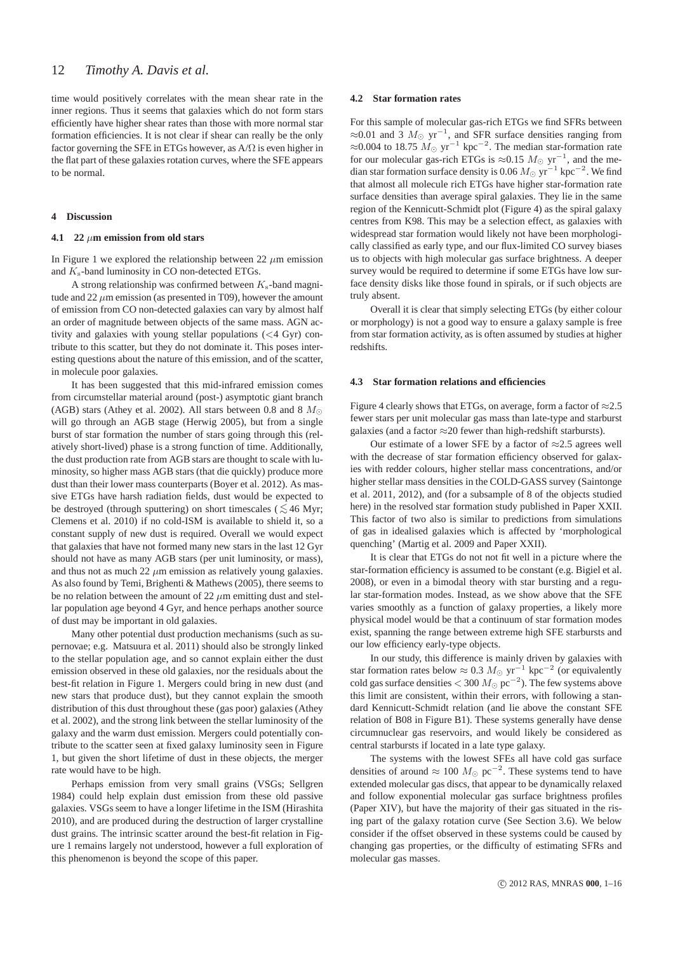time would positively correlates with the mean shear rate in the inner regions. Thus it seems that galaxies which do not form stars efficiently have higher shear rates than those with more normal star formation efficiencies. It is not clear if shear can really be the only factor governing the SFE in ETGs however, as  $A/\Omega$  is even higher in the flat part of these galaxies rotation curves, where the SFE appears to be normal.

# **4 Discussion**

### **4.1 22** µ**m emission from old stars**

In Figure 1 we explored the relationship between 22  $\mu$ m emission and  $K_s$ -band luminosity in CO non-detected ETGs.

A strong relationship was confirmed between  $K<sub>s</sub>$ -band magnitude and 22  $\mu$ m emission (as presented in T09), however the amount of emission from CO non-detected galaxies can vary by almost half an order of magnitude between objects of the same mass. AGN activity and galaxies with young stellar populations (<4 Gyr) contribute to this scatter, but they do not dominate it. This poses interesting questions about the nature of this emission, and of the scatter, in molecule poor galaxies.

It has been suggested that this mid-infrared emission comes from circumstellar material around (post-) asymptotic giant branch (AGB) stars (Athey et al. 2002). All stars between 0.8 and 8  $M_{\odot}$ will go through an AGB stage (Herwig 2005), but from a single burst of star formation the number of stars going through this (relatively short-lived) phase is a strong function of time. Additionally, the dust production rate from AGB stars are thought to scale with luminosity, so higher mass AGB stars (that die quickly) produce more dust than their lower mass counterparts (Boyer et al. 2012). As massive ETGs have harsh radiation fields, dust would be expected to be destroyed (through sputtering) on short timescales (  $\lesssim$  46 Myr; Clemens et al. 2010) if no cold-ISM is available to shield it, so a constant supply of new dust is required. Overall we would expect that galaxies that have not formed many new stars in the last 12 Gyr should not have as many AGB stars (per unit luminosity, or mass), and thus not as much 22  $\mu$ m emission as relatively young galaxies. As also found by Temi, Brighenti & Mathews (2005), there seems to be no relation between the amount of 22  $\mu$ m emitting dust and stellar population age beyond 4 Gyr, and hence perhaps another source of dust may be important in old galaxies.

Many other potential dust production mechanisms (such as supernovae; e.g. Matsuura et al. 2011) should also be strongly linked to the stellar population age, and so cannot explain either the dust emission observed in these old galaxies, nor the residuals about the best-fit relation in Figure 1. Mergers could bring in new dust (and new stars that produce dust), but they cannot explain the smooth distribution of this dust throughout these (gas poor) galaxies (Athey et al. 2002), and the strong link between the stellar luminosity of the galaxy and the warm dust emission. Mergers could potentially contribute to the scatter seen at fixed galaxy luminosity seen in Figure 1, but given the short lifetime of dust in these objects, the merger rate would have to be high.

Perhaps emission from very small grains (VSGs; Sellgren 1984) could help explain dust emission from these old passive galaxies. VSGs seem to have a longer lifetime in the ISM (Hirashita 2010), and are produced during the destruction of larger crystalline dust grains. The intrinsic scatter around the best-fit relation in Figure 1 remains largely not understood, however a full exploration of this phenomenon is beyond the scope of this paper.

#### **4.2 Star formation rates**

For this sample of molecular gas-rich ETGs we find SFRs between ≈0.01 and 3  $M_{\odot}$  yr<sup>-1</sup>, and SFR surface densities ranging from ≈0.004 to 18.75  $M_{\odot}$  yr<sup>-1</sup> kpc<sup>-2</sup>. The median star-formation rate for our molecular gas-rich ETGs is  $\approx 0.15 M_{\odot} \text{ yr}^{-1}$ , and the median star formation surface density is 0.06  $M_{\odot}$  yr<sup>-1</sup> kpc<sup>-2</sup>. We find that almost all molecule rich ETGs have higher star-formation rate surface densities than average spiral galaxies. They lie in the same region of the Kennicutt-Schmidt plot (Figure 4) as the spiral galaxy centres from K98. This may be a selection effect, as galaxies with widespread star formation would likely not have been morphologically classified as early type, and our flux-limited CO survey biases us to objects with high molecular gas surface brightness. A deeper survey would be required to determine if some ETGs have low surface density disks like those found in spirals, or if such objects are truly absent.

Overall it is clear that simply selecting ETGs (by either colour or morphology) is not a good way to ensure a galaxy sample is free from star formation activity, as is often assumed by studies at higher redshifts.

# **4.3 Star formation relations and efficiencies**

Figure 4 clearly shows that ETGs, on average, form a factor of  $\approx$ 2.5 fewer stars per unit molecular gas mass than late-type and starburst galaxies (and a factor  $\approx$  20 fewer than high-redshift starbursts).

Our estimate of a lower SFE by a factor of  $\approx 2.5$  agrees well with the decrease of star formation efficiency observed for galaxies with redder colours, higher stellar mass concentrations, and/or higher stellar mass densities in the COLD-GASS survey (Saintonge et al. 2011, 2012), and (for a subsample of 8 of the objects studied here) in the resolved star formation study published in Paper XXII. This factor of two also is similar to predictions from simulations of gas in idealised galaxies which is affected by 'morphological quenching' (Martig et al. 2009 and Paper XXII).

It is clear that ETGs do not not fit well in a picture where the star-formation efficiency is assumed to be constant (e.g. Bigiel et al. 2008), or even in a bimodal theory with star bursting and a regular star-formation modes. Instead, as we show above that the SFE varies smoothly as a function of galaxy properties, a likely more physical model would be that a continuum of star formation modes exist, spanning the range between extreme high SFE starbursts and our low efficiency early-type objects.

In our study, this difference is mainly driven by galaxies with star formation rates below  $\approx 0.3 M_{\odot}$  yr<sup>-1</sup> kpc<sup>-2</sup> (or equivalently cold gas surface densities < 300  $M_{\odot}$  pc<sup>-2</sup>). The few systems above this limit are consistent, within their errors, with following a standard Kennicutt-Schmidt relation (and lie above the constant SFE relation of B08 in Figure B1). These systems generally have dense circumnuclear gas reservoirs, and would likely be considered as central starbursts if located in a late type galaxy.

The systems with the lowest SFEs all have cold gas surface densities of around  $\approx 100 M_{\odot}$  pc<sup>-2</sup>. These systems tend to have extended molecular gas discs, that appear to be dynamically relaxed and follow exponential molecular gas surface brightness profiles (Paper XIV), but have the majority of their gas situated in the rising part of the galaxy rotation curve (See Section 3.6). We below consider if the offset observed in these systems could be caused by changing gas properties, or the difficulty of estimating SFRs and molecular gas masses.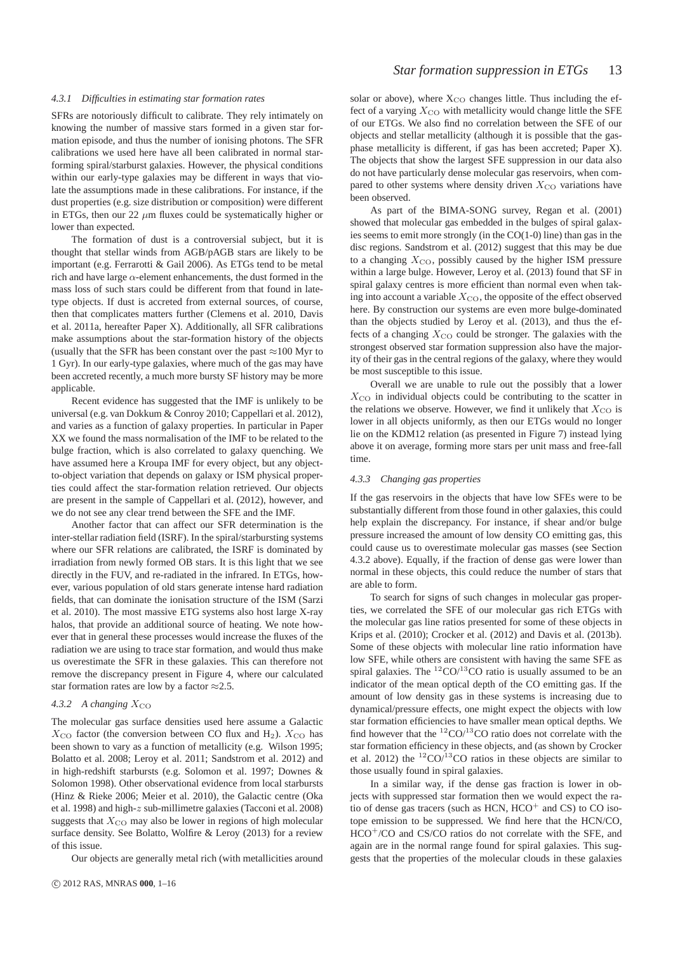# *4.3.1 Difficulties in estimating star formation rates*

SFRs are notoriously difficult to calibrate. They rely intimately on knowing the number of massive stars formed in a given star formation episode, and thus the number of ionising photons. The SFR calibrations we used here have all been calibrated in normal starforming spiral/starburst galaxies. However, the physical conditions within our early-type galaxies may be different in ways that violate the assumptions made in these calibrations. For instance, if the dust properties (e.g. size distribution or composition) were different in ETGs, then our 22  $\mu$ m fluxes could be systematically higher or lower than expected.

The formation of dust is a controversial subject, but it is thought that stellar winds from AGB/pAGB stars are likely to be important (e.g. Ferrarotti & Gail 2006). As ETGs tend to be metal rich and have large  $\alpha$ -element enhancements, the dust formed in the mass loss of such stars could be different from that found in latetype objects. If dust is accreted from external sources, of course, then that complicates matters further (Clemens et al. 2010, Davis et al. 2011a, hereafter Paper X). Additionally, all SFR calibrations make assumptions about the star-formation history of the objects (usually that the SFR has been constant over the past  $\approx$ 100 Myr to 1 Gyr). In our early-type galaxies, where much of the gas may have been accreted recently, a much more bursty SF history may be more applicable.

Recent evidence has suggested that the IMF is unlikely to be universal (e.g. van Dokkum & Conroy 2010; Cappellari et al. 2012), and varies as a function of galaxy properties. In particular in Paper XX we found the mass normalisation of the IMF to be related to the bulge fraction, which is also correlated to galaxy quenching. We have assumed here a Kroupa IMF for every object, but any objectto-object variation that depends on galaxy or ISM physical properties could affect the star-formation relation retrieved. Our objects are present in the sample of Cappellari et al. (2012), however, and we do not see any clear trend between the SFE and the IMF.

Another factor that can affect our SFR determination is the inter-stellar radiation field (ISRF). In the spiral/starbursting systems where our SFR relations are calibrated, the ISRF is dominated by irradiation from newly formed OB stars. It is this light that we see directly in the FUV, and re-radiated in the infrared. In ETGs, however, various population of old stars generate intense hard radiation fields, that can dominate the ionisation structure of the ISM (Sarzi et al. 2010). The most massive ETG systems also host large X-ray halos, that provide an additional source of heating. We note however that in general these processes would increase the fluxes of the radiation we are using to trace star formation, and would thus make us overestimate the SFR in these galaxies. This can therefore not remove the discrepancy present in Figure 4, where our calculated star formation rates are low by a factor  $\approx$  2.5.

# 4.3.2 A changing  $X_{\rm CO}$

The molecular gas surface densities used here assume a Galactic  $X_{\text{CO}}$  factor (the conversion between CO flux and H<sub>2</sub>).  $X_{\text{CO}}$  has been shown to vary as a function of metallicity (e.g. Wilson 1995; Bolatto et al. 2008; Leroy et al. 2011; Sandstrom et al. 2012) and in high-redshift starbursts (e.g. Solomon et al. 1997; Downes & Solomon 1998). Other observational evidence from local starbursts (Hinz & Rieke 2006; Meier et al. 2010), the Galactic centre (Oka et al. 1998) and high-z sub-millimetre galaxies (Tacconi et al. 2008) suggests that  $X_{\text{CO}}$  may also be lower in regions of high molecular surface density. See Bolatto, Wolfire & Leroy (2013) for a review of this issue.

Our objects are generally metal rich (with metallicities around

solar or above), where  $X_{\text{CO}}$  changes little. Thus including the effect of a varying  $X_{\text{CO}}$  with metallicity would change little the SFE of our ETGs. We also find no correlation between the SFE of our objects and stellar metallicity (although it is possible that the gasphase metallicity is different, if gas has been accreted; Paper X). The objects that show the largest SFE suppression in our data also do not have particularly dense molecular gas reservoirs, when compared to other systems where density driven  $X_{\text{CO}}$  variations have been observed.

As part of the BIMA-SONG survey, Regan et al. (2001) showed that molecular gas embedded in the bulges of spiral galaxies seems to emit more strongly (in the CO(1-0) line) than gas in the disc regions. Sandstrom et al. (2012) suggest that this may be due to a changing  $X_{\text{CO}}$ , possibly caused by the higher ISM pressure within a large bulge. However, Leroy et al. (2013) found that SF in spiral galaxy centres is more efficient than normal even when taking into account a variable  $X_{\text{CO}}$ , the opposite of the effect observed here. By construction our systems are even more bulge-dominated than the objects studied by Leroy et al. (2013), and thus the effects of a changing  $X_{\text{CO}}$  could be stronger. The galaxies with the strongest observed star formation suppression also have the majority of their gas in the central regions of the galaxy, where they would be most susceptible to this issue.

Overall we are unable to rule out the possibly that a lower  $X_{\rm CO}$  in individual objects could be contributing to the scatter in the relations we observe. However, we find it unlikely that  $X_{\text{CO}}$  is lower in all objects uniformly, as then our ETGs would no longer lie on the KDM12 relation (as presented in Figure 7) instead lying above it on average, forming more stars per unit mass and free-fall time.

#### *4.3.3 Changing gas properties*

If the gas reservoirs in the objects that have low SFEs were to be substantially different from those found in other galaxies, this could help explain the discrepancy. For instance, if shear and/or bulge pressure increased the amount of low density CO emitting gas, this could cause us to overestimate molecular gas masses (see Section 4.3.2 above). Equally, if the fraction of dense gas were lower than normal in these objects, this could reduce the number of stars that are able to form.

To search for signs of such changes in molecular gas properties, we correlated the SFE of our molecular gas rich ETGs with the molecular gas line ratios presented for some of these objects in Krips et al. (2010); Crocker et al. (2012) and Davis et al. (2013b). Some of these objects with molecular line ratio information have low SFE, while others are consistent with having the same SFE as spiral galaxies. The  ${}^{12}CO/{}^{13}CO$  ratio is usually assumed to be an indicator of the mean optical depth of the CO emitting gas. If the amount of low density gas in these systems is increasing due to dynamical/pressure effects, one might expect the objects with low star formation efficiencies to have smaller mean optical depths. We find however that the  ${}^{12}CO/{}^{13}CO$  ratio does not correlate with the star formation efficiency in these objects, and (as shown by Crocker et al. 2012) the  ${}^{12}CO/{}^{13}CO$  ratios in these objects are similar to those usually found in spiral galaxies.

In a similar way, if the dense gas fraction is lower in objects with suppressed star formation then we would expect the ratio of dense gas tracers (such as HCN,  $HCO<sup>+</sup>$  and CS) to CO isotope emission to be suppressed. We find here that the HCN/CO, HCO<sup>+</sup>/CO and CS/CO ratios do not correlate with the SFE, and again are in the normal range found for spiral galaxies. This suggests that the properties of the molecular clouds in these galaxies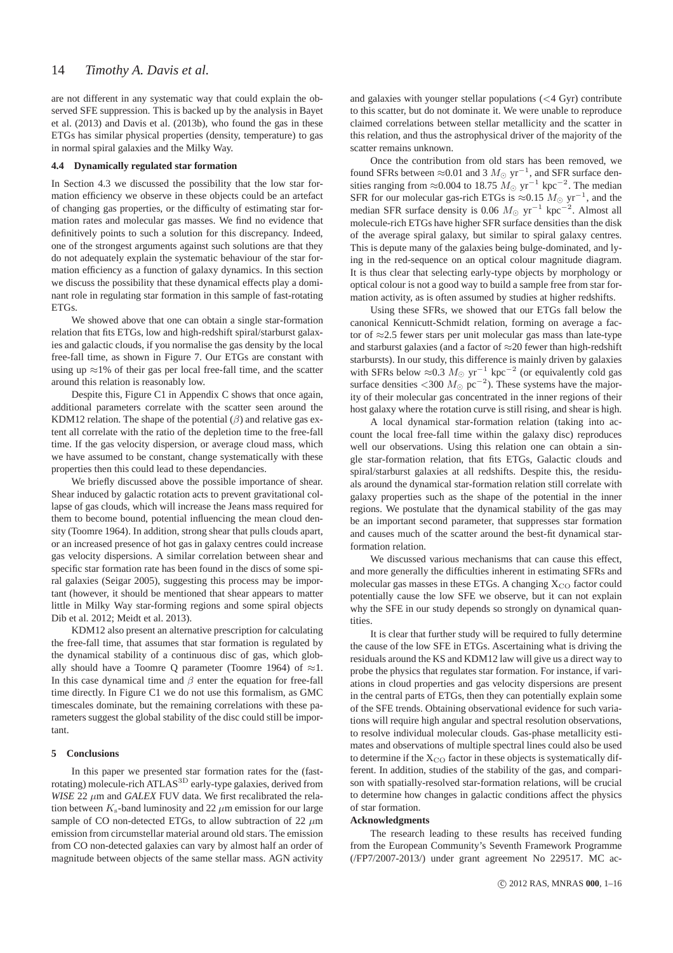are not different in any systematic way that could explain the observed SFE suppression. This is backed up by the analysis in Bayet et al. (2013) and Davis et al. (2013b), who found the gas in these ETGs has similar physical properties (density, temperature) to gas in normal spiral galaxies and the Milky Way.

# **4.4 Dynamically regulated star formation**

In Section 4.3 we discussed the possibility that the low star formation efficiency we observe in these objects could be an artefact of changing gas properties, or the difficulty of estimating star formation rates and molecular gas masses. We find no evidence that definitively points to such a solution for this discrepancy. Indeed, one of the strongest arguments against such solutions are that they do not adequately explain the systematic behaviour of the star formation efficiency as a function of galaxy dynamics. In this section we discuss the possibility that these dynamical effects play a dominant role in regulating star formation in this sample of fast-rotating ETGs.

We showed above that one can obtain a single star-formation relation that fits ETGs, low and high-redshift spiral/starburst galaxies and galactic clouds, if you normalise the gas density by the local free-fall time, as shown in Figure 7. Our ETGs are constant with using up  $\approx$ 1% of their gas per local free-fall time, and the scatter around this relation is reasonably low.

Despite this, Figure C1 in Appendix C shows that once again, additional parameters correlate with the scatter seen around the KDM12 relation. The shape of the potential  $(\beta)$  and relative gas extent all correlate with the ratio of the depletion time to the free-fall time. If the gas velocity dispersion, or average cloud mass, which we have assumed to be constant, change systematically with these properties then this could lead to these dependancies.

We briefly discussed above the possible importance of shear. Shear induced by galactic rotation acts to prevent gravitational collapse of gas clouds, which will increase the Jeans mass required for them to become bound, potential influencing the mean cloud density (Toomre 1964). In addition, strong shear that pulls clouds apart, or an increased presence of hot gas in galaxy centres could increase gas velocity dispersions. A similar correlation between shear and specific star formation rate has been found in the discs of some spiral galaxies (Seigar 2005), suggesting this process may be important (however, it should be mentioned that shear appears to matter little in Milky Way star-forming regions and some spiral objects Dib et al. 2012; Meidt et al. 2013).

KDM12 also present an alternative prescription for calculating the free-fall time, that assumes that star formation is regulated by the dynamical stability of a continuous disc of gas, which globally should have a Toomre Q parameter (Toomre 1964) of  $\approx$ 1. In this case dynamical time and  $\beta$  enter the equation for free-fall time directly. In Figure C1 we do not use this formalism, as GMC timescales dominate, but the remaining correlations with these parameters suggest the global stability of the disc could still be important.

# **5 Conclusions**

In this paper we presented star formation rates for the (fastrotating) molecule-rich ATLAS3D early-type galaxies, derived from *WISE* 22  $\mu$ m and *GALEX* FUV data. We first recalibrated the relation between  $K_s$ -band luminosity and 22  $\mu$ m emission for our large sample of CO non-detected ETGs, to allow subtraction of 22  $\mu$ m emission from circumstellar material around old stars. The emission from CO non-detected galaxies can vary by almost half an order of magnitude between objects of the same stellar mass. AGN activity

and galaxies with younger stellar populations  $( $4 \text{ Gyr}$ )$  contribute to this scatter, but do not dominate it. We were unable to reproduce claimed correlations between stellar metallicity and the scatter in this relation, and thus the astrophysical driver of the majority of the scatter remains unknown.

Once the contribution from old stars has been removed, we found SFRs between  $\approx$ 0.01 and 3  $M_{\odot}$  yr<sup>-1</sup>, and SFR surface densities ranging from ≈0.004 to 18.75  $M_{\odot}$  yr<sup>-1</sup> kpc<sup>-2</sup>. The median SFR for our molecular gas-rich ETGs is ≈0.15  $M_{\odot}$  yr<sup>-1</sup>, and the median SFR surface density is 0.06  $M_{\odot}$  yr<sup>-1</sup> kpc<sup>-2</sup>. Almost all molecule-rich ETGs have higher SFR surface densities than the disk of the average spiral galaxy, but similar to spiral galaxy centres. This is depute many of the galaxies being bulge-dominated, and lying in the red-sequence on an optical colour magnitude diagram. It is thus clear that selecting early-type objects by morphology or optical colour is not a good way to build a sample free from star formation activity, as is often assumed by studies at higher redshifts.

Using these SFRs, we showed that our ETGs fall below the canonical Kennicutt-Schmidt relation, forming on average a factor of ≈2.5 fewer stars per unit molecular gas mass than late-type and starburst galaxies (and a factor of  $\approx$ 20 fewer than high-redshift starbursts). In our study, this difference is mainly driven by galaxies with SFRs below  $\approx 0.3 M_{\odot}$  yr<sup>-1</sup> kpc<sup>-2</sup> (or equivalently cold gas surface densities <300  $M_{\odot}$  pc<sup>-2</sup>). These systems have the majority of their molecular gas concentrated in the inner regions of their host galaxy where the rotation curve is still rising, and shear is high.

A local dynamical star-formation relation (taking into account the local free-fall time within the galaxy disc) reproduces well our observations. Using this relation one can obtain a single star-formation relation, that fits ETGs, Galactic clouds and spiral/starburst galaxies at all redshifts. Despite this, the residuals around the dynamical star-formation relation still correlate with galaxy properties such as the shape of the potential in the inner regions. We postulate that the dynamical stability of the gas may be an important second parameter, that suppresses star formation and causes much of the scatter around the best-fit dynamical starformation relation.

We discussed various mechanisms that can cause this effect, and more generally the difficulties inherent in estimating SFRs and molecular gas masses in these ETGs. A changing  $X_{\rm CO}$  factor could potentially cause the low SFE we observe, but it can not explain why the SFE in our study depends so strongly on dynamical quantities.

It is clear that further study will be required to fully determine the cause of the low SFE in ETGs. Ascertaining what is driving the residuals around the KS and KDM12 law will give us a direct way to probe the physics that regulates star formation. For instance, if variations in cloud properties and gas velocity dispersions are present in the central parts of ETGs, then they can potentially explain some of the SFE trends. Obtaining observational evidence for such variations will require high angular and spectral resolution observations, to resolve individual molecular clouds. Gas-phase metallicity estimates and observations of multiple spectral lines could also be used to determine if the  $X_{\rm CO}$  factor in these objects is systematically different. In addition, studies of the stability of the gas, and comparison with spatially-resolved star-formation relations, will be crucial to determine how changes in galactic conditions affect the physics of star formation.

#### **Acknowledgments**

The research leading to these results has received funding from the European Community's Seventh Framework Programme (/FP7/2007-2013/) under grant agreement No 229517. MC ac-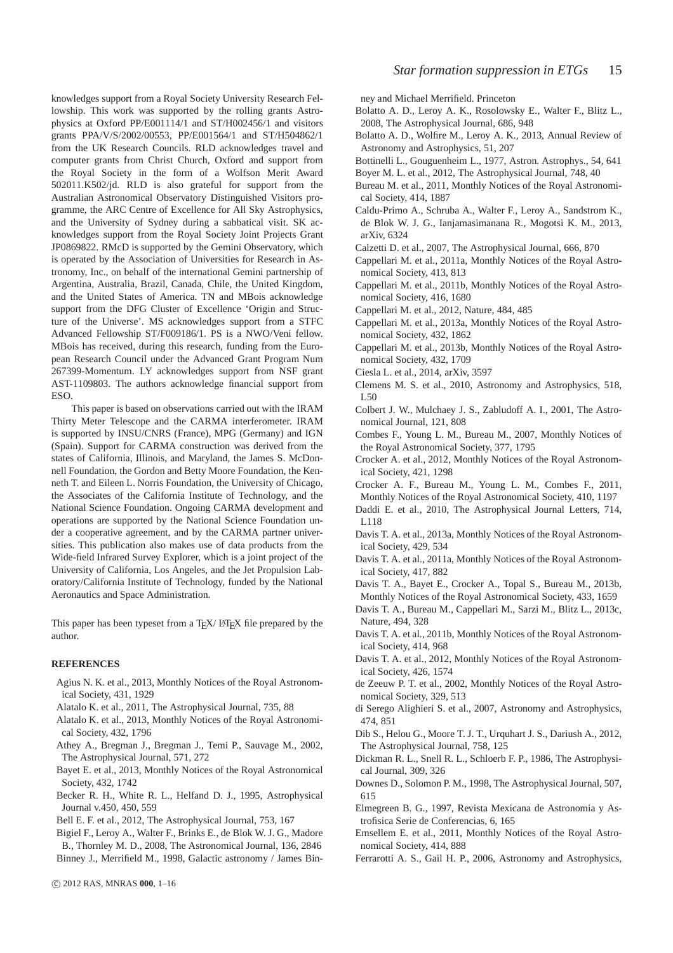knowledges support from a Royal Society University Research Fellowship. This work was supported by the rolling grants Astrophysics at Oxford PP/E001114/1 and ST/H002456/1 and visitors grants PPA/V/S/2002/00553, PP/E001564/1 and ST/H504862/1 from the UK Research Councils. RLD acknowledges travel and computer grants from Christ Church, Oxford and support from the Royal Society in the form of a Wolfson Merit Award 502011.K502/jd. RLD is also grateful for support from the Australian Astronomical Observatory Distinguished Visitors programme, the ARC Centre of Excellence for All Sky Astrophysics, and the University of Sydney during a sabbatical visit. SK acknowledges support from the Royal Society Joint Projects Grant JP0869822. RMcD is supported by the Gemini Observatory, which is operated by the Association of Universities for Research in Astronomy, Inc., on behalf of the international Gemini partnership of Argentina, Australia, Brazil, Canada, Chile, the United Kingdom, and the United States of America. TN and MBois acknowledge support from the DFG Cluster of Excellence 'Origin and Structure of the Universe'. MS acknowledges support from a STFC Advanced Fellowship ST/F009186/1. PS is a NWO/Veni fellow. MBois has received, during this research, funding from the European Research Council under the Advanced Grant Program Num 267399-Momentum. LY acknowledges support from NSF grant AST-1109803. The authors acknowledge financial support from ESO.

This paper is based on observations carried out with the IRAM Thirty Meter Telescope and the CARMA interferometer. IRAM is supported by INSU/CNRS (France), MPG (Germany) and IGN (Spain). Support for CARMA construction was derived from the states of California, Illinois, and Maryland, the James S. McDonnell Foundation, the Gordon and Betty Moore Foundation, the Kenneth T. and Eileen L. Norris Foundation, the University of Chicago, the Associates of the California Institute of Technology, and the National Science Foundation. Ongoing CARMA development and operations are supported by the National Science Foundation under a cooperative agreement, and by the CARMA partner universities. This publication also makes use of data products from the Wide-field Infrared Survey Explorer, which is a joint project of the University of California, Los Angeles, and the Jet Propulsion Laboratory/California Institute of Technology, funded by the National Aeronautics and Space Administration.

This paper has been typeset from a TEX/ LHEX file prepared by the author.

# **REFERENCES**

- Agius N. K. et al., 2013, Monthly Notices of the Royal Astronomical Society, 431, 1929
- Alatalo K. et al., 2011, The Astrophysical Journal, 735, 88
- Alatalo K. et al., 2013, Monthly Notices of the Royal Astronomical Society, 432, 1796
- Athey A., Bregman J., Bregman J., Temi P., Sauvage M., 2002, The Astrophysical Journal, 571, 272
- Bayet E. et al., 2013, Monthly Notices of the Royal Astronomical Society, 432, 1742
- Becker R. H., White R. L., Helfand D. J., 1995, Astrophysical Journal v.450, 450, 559
- Bell E. F. et al., 2012, The Astrophysical Journal, 753, 167
- Bigiel F., Leroy A., Walter F., Brinks E., de Blok W. J. G., Madore B., Thornley M. D., 2008, The Astronomical Journal, 136, 2846 Binney J., Merrifield M., 1998, Galactic astronomy / James Bin-

ney and Michael Merrifield. Princeton

- Bolatto A. D., Leroy A. K., Rosolowsky E., Walter F., Blitz L., 2008, The Astrophysical Journal, 686, 948
- Bolatto A. D., Wolfire M., Leroy A. K., 2013, Annual Review of Astronomy and Astrophysics, 51, 207

Bottinelli L., Gouguenheim L., 1977, Astron. Astrophys., 54, 641

Boyer M. L. et al., 2012, The Astrophysical Journal, 748, 40

- Bureau M. et al., 2011, Monthly Notices of the Royal Astronomical Society, 414, 1887
- Caldu-Primo A., Schruba A., Walter F., Leroy A., Sandstrom K., de Blok W. J. G., Ianjamasimanana R., Mogotsi K. M., 2013, arXiv, 6324
- Calzetti D. et al., 2007, The Astrophysical Journal, 666, 870
- Cappellari M. et al., 2011a, Monthly Notices of the Royal Astronomical Society, 413, 813
- Cappellari M. et al., 2011b, Monthly Notices of the Royal Astronomical Society, 416, 1680
- Cappellari M. et al., 2012, Nature, 484, 485
- Cappellari M. et al., 2013a, Monthly Notices of the Royal Astronomical Society, 432, 1862
- Cappellari M. et al., 2013b, Monthly Notices of the Royal Astronomical Society, 432, 1709
- Ciesla L. et al., 2014, arXiv, 3597
- Clemens M. S. et al., 2010, Astronomy and Astrophysics, 518, L50
- Colbert J. W., Mulchaey J. S., Zabludoff A. I., 2001, The Astronomical Journal, 121, 808
- Combes F., Young L. M., Bureau M., 2007, Monthly Notices of the Royal Astronomical Society, 377, 1795
- Crocker A. et al., 2012, Monthly Notices of the Royal Astronomical Society, 421, 1298
- Crocker A. F., Bureau M., Young L. M., Combes F., 2011, Monthly Notices of the Royal Astronomical Society, 410, 1197
- Daddi E. et al., 2010, The Astrophysical Journal Letters, 714, L118
- Davis T. A. et al., 2013a, Monthly Notices of the Royal Astronomical Society, 429, 534
- Davis T. A. et al., 2011a, Monthly Notices of the Royal Astronomical Society, 417, 882
- Davis T. A., Bayet E., Crocker A., Topal S., Bureau M., 2013b, Monthly Notices of the Royal Astronomical Society, 433, 1659
- Davis T. A., Bureau M., Cappellari M., Sarzi M., Blitz L., 2013c, Nature, 494, 328
- Davis T. A. et al., 2011b, Monthly Notices of the Royal Astronomical Society, 414, 968
- Davis T. A. et al., 2012, Monthly Notices of the Royal Astronomical Society, 426, 1574
- de Zeeuw P. T. et al., 2002, Monthly Notices of the Royal Astronomical Society, 329, 513
- di Serego Alighieri S. et al., 2007, Astronomy and Astrophysics, 474, 851
- Dib S., Helou G., Moore T. J. T., Urquhart J. S., Dariush A., 2012, The Astrophysical Journal, 758, 125
- Dickman R. L., Snell R. L., Schloerb F. P., 1986, The Astrophysical Journal, 309, 326
- Downes D., Solomon P. M., 1998, The Astrophysical Journal, 507, 615
- Elmegreen B. G., 1997, Revista Mexicana de Astronomia y Astrofisica Serie de Conferencias, 6, 165
- Emsellem E. et al., 2011, Monthly Notices of the Royal Astronomical Society, 414, 888
- Ferrarotti A. S., Gail H. P., 2006, Astronomy and Astrophysics,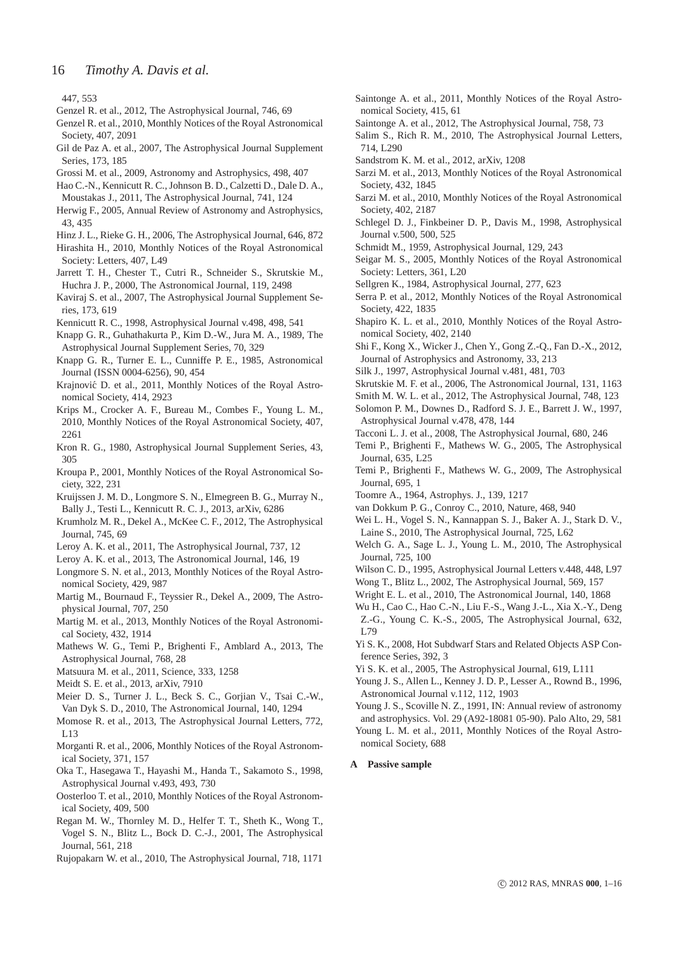447, 553

- Genzel R. et al., 2012, The Astrophysical Journal, 746, 69
- Genzel R. et al., 2010, Monthly Notices of the Royal Astronomical Society, 407, 2091
- Gil de Paz A. et al., 2007, The Astrophysical Journal Supplement Series, 173, 185
- Grossi M. et al., 2009, Astronomy and Astrophysics, 498, 407
- Hao C.-N., Kennicutt R. C., Johnson B. D., Calzetti D., Dale D. A., Moustakas J., 2011, The Astrophysical Journal, 741, 124
- Herwig F., 2005, Annual Review of Astronomy and Astrophysics, 43, 435
- Hinz J. L., Rieke G. H., 2006, The Astrophysical Journal, 646, 872
- Hirashita H., 2010, Monthly Notices of the Royal Astronomical Society: Letters, 407, L49
- Jarrett T. H., Chester T., Cutri R., Schneider S., Skrutskie M., Huchra J. P., 2000, The Astronomical Journal, 119, 2498
- Kaviraj S. et al., 2007, The Astrophysical Journal Supplement Series, 173, 619
- Kennicutt R. C., 1998, Astrophysical Journal v.498, 498, 541
- Knapp G. R., Guhathakurta P., Kim D.-W., Jura M. A., 1989, The Astrophysical Journal Supplement Series, 70, 329
- Knapp G. R., Turner E. L., Cunniffe P. E., 1985, Astronomical Journal (ISSN 0004-6256), 90, 454
- Krajnović D. et al., 2011, Monthly Notices of the Royal Astronomical Society, 414, 2923
- Krips M., Crocker A. F., Bureau M., Combes F., Young L. M., 2010, Monthly Notices of the Royal Astronomical Society, 407, 2261
- Kron R. G., 1980, Astrophysical Journal Supplement Series, 43, 305
- Kroupa P., 2001, Monthly Notices of the Royal Astronomical Society, 322, 231
- Kruijssen J. M. D., Longmore S. N., Elmegreen B. G., Murray N., Bally J., Testi L., Kennicutt R. C. J., 2013, arXiv, 6286
- Krumholz M. R., Dekel A., McKee C. F., 2012, The Astrophysical Journal, 745, 69
- Leroy A. K. et al., 2011, The Astrophysical Journal, 737, 12
- Leroy A. K. et al., 2013, The Astronomical Journal, 146, 19
- Longmore S. N. et al., 2013, Monthly Notices of the Royal Astronomical Society, 429, 987
- Martig M., Bournaud F., Teyssier R., Dekel A., 2009, The Astrophysical Journal, 707, 250
- Martig M. et al., 2013, Monthly Notices of the Royal Astronomical Society, 432, 1914
- Mathews W. G., Temi P., Brighenti F., Amblard A., 2013, The Astrophysical Journal, 768, 28
- Matsuura M. et al., 2011, Science, 333, 1258
- Meidt S. E. et al., 2013, arXiv, 7910
- Meier D. S., Turner J. L., Beck S. C., Gorjian V., Tsai C.-W., Van Dyk S. D., 2010, The Astronomical Journal, 140, 1294
- Momose R. et al., 2013, The Astrophysical Journal Letters, 772, L13
- Morganti R. et al., 2006, Monthly Notices of the Royal Astronomical Society, 371, 157
- Oka T., Hasegawa T., Hayashi M., Handa T., Sakamoto S., 1998, Astrophysical Journal v.493, 493, 730
- Oosterloo T. et al., 2010, Monthly Notices of the Royal Astronomical Society, 409, 500
- Regan M. W., Thornley M. D., Helfer T. T., Sheth K., Wong T., Vogel S. N., Blitz L., Bock D. C.-J., 2001, The Astrophysical Journal, 561, 218
- Rujopakarn W. et al., 2010, The Astrophysical Journal, 718, 1171
- Saintonge A. et al., 2011, Monthly Notices of the Royal Astronomical Society, 415, 61
- Saintonge A. et al., 2012, The Astrophysical Journal, 758, 73
- Salim S., Rich R. M., 2010, The Astrophysical Journal Letters, 714, L290
- Sandstrom K. M. et al., 2012, arXiv, 1208
- Sarzi M. et al., 2013, Monthly Notices of the Royal Astronomical Society, 432, 1845
- Sarzi M. et al., 2010, Monthly Notices of the Royal Astronomical Society, 402, 2187
- Schlegel D. J., Finkbeiner D. P., Davis M., 1998, Astrophysical Journal v.500, 500, 525
- Schmidt M., 1959, Astrophysical Journal, 129, 243
- Seigar M. S., 2005, Monthly Notices of the Royal Astronomical Society: Letters, 361, L20
- Sellgren K., 1984, Astrophysical Journal, 277, 623
- Serra P. et al., 2012, Monthly Notices of the Royal Astronomical Society, 422, 1835
- Shapiro K. L. et al., 2010, Monthly Notices of the Royal Astronomical Society, 402, 2140
- Shi F., Kong X., Wicker J., Chen Y., Gong Z.-Q., Fan D.-X., 2012, Journal of Astrophysics and Astronomy, 33, 213
- Silk J., 1997, Astrophysical Journal v.481, 481, 703
- Skrutskie M. F. et al., 2006, The Astronomical Journal, 131, 1163
- Smith M. W. L. et al., 2012, The Astrophysical Journal, 748, 123
- Solomon P. M., Downes D., Radford S. J. E., Barrett J. W., 1997, Astrophysical Journal v.478, 478, 144
- Tacconi L. J. et al., 2008, The Astrophysical Journal, 680, 246
- Temi P., Brighenti F., Mathews W. G., 2005, The Astrophysical Journal, 635, L25
- Temi P., Brighenti F., Mathews W. G., 2009, The Astrophysical Journal, 695, 1
- Toomre A., 1964, Astrophys. J., 139, 1217
- van Dokkum P. G., Conroy C., 2010, Nature, 468, 940
- Wei L. H., Vogel S. N., Kannappan S. J., Baker A. J., Stark D. V., Laine S., 2010, The Astrophysical Journal, 725, L62
- Welch G. A., Sage L. J., Young L. M., 2010, The Astrophysical Journal, 725, 100
- Wilson C. D., 1995, Astrophysical Journal Letters v.448, 448, L97 Wong T., Blitz L., 2002, The Astrophysical Journal, 569, 157
- Wright E. L. et al., 2010, The Astronomical Journal, 140, 1868
- Wu H., Cao C., Hao C.-N., Liu F.-S., Wang J.-L., Xia X.-Y., Deng Z.-G., Young C. K.-S., 2005, The Astrophysical Journal, 632, L79
- Yi S. K., 2008, Hot Subdwarf Stars and Related Objects ASP Conference Series, 392, 3
- Yi S. K. et al., 2005, The Astrophysical Journal, 619, L111
- Young J. S., Allen L., Kenney J. D. P., Lesser A., Rownd B., 1996, Astronomical Journal v.112, 112, 1903
- Young J. S., Scoville N. Z., 1991, IN: Annual review of astronomy and astrophysics. Vol. 29 (A92-18081 05-90). Palo Alto, 29, 581
- Young L. M. et al., 2011, Monthly Notices of the Royal Astronomical Society, 688

# **A Passive sample**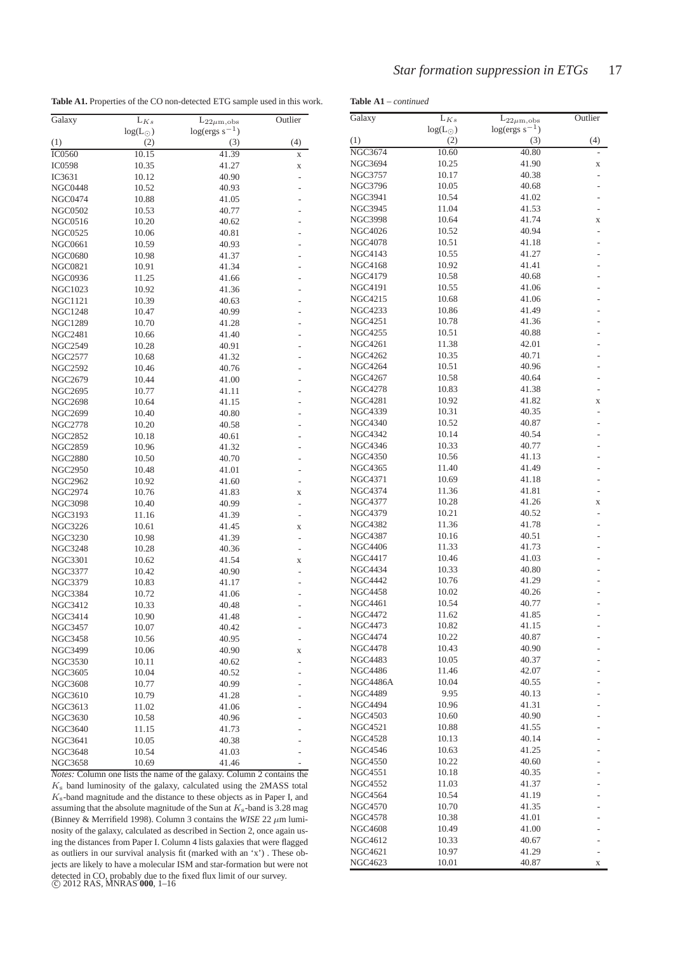Table A1. Properties of the CO non-detected ETG sample used in this work.

| Galaxy         | $L_{Ks}$                                     | $L_{22\mu m,obs}$                                                            | Outlier        | Galaxy          | $\overline{L}_{Ks}$ | $\rm L_{22\mu m,obs}$ | Outlier     |
|----------------|----------------------------------------------|------------------------------------------------------------------------------|----------------|-----------------|---------------------|-----------------------|-------------|
|                | $\log(\ensuremath{\mathrm{L}_\odot}\xspace)$ | $log(ergs s-1)$                                                              |                |                 | $log(L_{\odot})$    | $log(ergs s^{-1})$    |             |
| (1)            | (2)                                          | (3)                                                                          | (4)            | (1)             | (2)                 | (3)                   | (4)         |
| IC0560         | 10.15                                        | 41.39                                                                        | $\mathbf X$    | <b>NGC3674</b>  | 10.60               | 40.80                 |             |
| <b>IC0598</b>  | 10.35                                        | 41.27                                                                        | $\mathbf X$    | <b>NGC3694</b>  | 10.25               | 41.90                 | $\mathbf X$ |
| IC3631         | 10.12                                        | 40.90                                                                        | L,             | <b>NGC3757</b>  | 10.17               | 40.38                 |             |
|                | 10.52                                        | 40.93                                                                        |                | <b>NGC3796</b>  | 10.05               | 40.68                 |             |
| <b>NGC0448</b> |                                              |                                                                              |                | <b>NGC3941</b>  | 10.54               | 41.02                 |             |
| <b>NGC0474</b> | 10.88                                        | 41.05                                                                        |                |                 |                     |                       |             |
| <b>NGC0502</b> | 10.53                                        | 40.77                                                                        |                | <b>NGC3945</b>  | 11.04               | 41.53                 |             |
| <b>NGC0516</b> | 10.20                                        | 40.62                                                                        |                | <b>NGC3998</b>  | 10.64               | 41.74                 | $\mathbf X$ |
| <b>NGC0525</b> | 10.06                                        | 40.81                                                                        |                | <b>NGC4026</b>  | 10.52               | 40.94                 |             |
| <b>NGC0661</b> | 10.59                                        | 40.93                                                                        |                | <b>NGC4078</b>  | 10.51               | 41.18                 |             |
| <b>NGC0680</b> | 10.98                                        | 41.37                                                                        |                | <b>NGC4143</b>  | 10.55               | 41.27                 |             |
| <b>NGC0821</b> | 10.91                                        | 41.34                                                                        |                | <b>NGC4168</b>  | 10.92               | 41.41                 |             |
| <b>NGC0936</b> | 11.25                                        | 41.66                                                                        |                | <b>NGC4179</b>  | 10.58               | 40.68                 |             |
| <b>NGC1023</b> | 10.92                                        | 41.36                                                                        |                | <b>NGC4191</b>  | 10.55               | 41.06                 |             |
|                |                                              |                                                                              |                | <b>NGC4215</b>  | 10.68               | 41.06                 |             |
| <b>NGC1121</b> | 10.39                                        | 40.63                                                                        |                | <b>NGC4233</b>  | 10.86               | 41.49                 |             |
| <b>NGC1248</b> | 10.47                                        | 40.99                                                                        |                |                 |                     |                       |             |
| <b>NGC1289</b> | 10.70                                        | 41.28                                                                        |                | <b>NGC4251</b>  | 10.78               | 41.36                 |             |
| <b>NGC2481</b> | 10.66                                        | 41.40                                                                        |                | <b>NGC4255</b>  | 10.51               | 40.88                 |             |
| <b>NGC2549</b> | 10.28                                        | 40.91                                                                        |                | <b>NGC4261</b>  | 11.38               | 42.01                 |             |
| <b>NGC2577</b> | 10.68                                        | 41.32                                                                        |                | <b>NGC4262</b>  | 10.35               | 40.71                 |             |
| <b>NGC2592</b> | 10.46                                        | 40.76                                                                        |                | <b>NGC4264</b>  | 10.51               | 40.96                 |             |
| <b>NGC2679</b> | 10.44                                        | 41.00                                                                        |                | <b>NGC4267</b>  | 10.58               | 40.64                 |             |
| <b>NGC2695</b> | 10.77                                        |                                                                              |                | <b>NGC4278</b>  | 10.83               | 41.38                 |             |
|                |                                              | 41.11                                                                        |                | <b>NGC4281</b>  | 10.92               | 41.82                 |             |
| <b>NGC2698</b> | 10.64                                        | 41.15                                                                        |                |                 |                     |                       | $\mathbf X$ |
| <b>NGC2699</b> | 10.40                                        | 40.80                                                                        |                | <b>NGC4339</b>  | 10.31               | 40.35                 |             |
| <b>NGC2778</b> | 10.20                                        | 40.58                                                                        |                | <b>NGC4340</b>  | 10.52               | 40.87                 |             |
| <b>NGC2852</b> | 10.18                                        | 40.61                                                                        |                | <b>NGC4342</b>  | 10.14               | 40.54                 |             |
| <b>NGC2859</b> | 10.96                                        | 41.32                                                                        |                | <b>NGC4346</b>  | 10.33               | 40.77                 |             |
| <b>NGC2880</b> | 10.50                                        | 40.70                                                                        |                | <b>NGC4350</b>  | 10.56               | 41.13                 |             |
| <b>NGC2950</b> | 10.48                                        | 41.01                                                                        |                | <b>NGC4365</b>  | 11.40               | 41.49                 |             |
| <b>NGC2962</b> | 10.92                                        | 41.60                                                                        |                | <b>NGC4371</b>  | 10.69               | 41.18                 |             |
|                |                                              |                                                                              |                | <b>NGC4374</b>  | 11.36               | 41.81                 |             |
| <b>NGC2974</b> | 10.76                                        | 41.83                                                                        | $\mathbf X$    | <b>NGC4377</b>  | 10.28               | 41.26                 | $\mathbf X$ |
| <b>NGC3098</b> | 10.40                                        | 40.99                                                                        | $\overline{a}$ |                 |                     |                       |             |
| <b>NGC3193</b> | 11.16                                        | 41.39                                                                        | ÷              | <b>NGC4379</b>  | 10.21               | 40.52                 |             |
| <b>NGC3226</b> | 10.61                                        | 41.45                                                                        | $\mathbf X$    | <b>NGC4382</b>  | 11.36               | 41.78                 |             |
| <b>NGC3230</b> | 10.98                                        | 41.39                                                                        | L,             | <b>NGC4387</b>  | 10.16               | 40.51                 |             |
| <b>NGC3248</b> | 10.28                                        | 40.36                                                                        |                | <b>NGC4406</b>  | 11.33               | 41.73                 |             |
| <b>NGC3301</b> | 10.62                                        | 41.54                                                                        | $\mathbf X$    | <b>NGC4417</b>  | 10.46               | 41.03                 |             |
| <b>NGC3377</b> | 10.42                                        | 40.90                                                                        | $\overline{a}$ | <b>NGC4434</b>  | 10.33               | 40.80                 |             |
| <b>NGC3379</b> | 10.83                                        | 41.17                                                                        |                | <b>NGC4442</b>  | 10.76               | 41.29                 |             |
| <b>NGC3384</b> | 10.72                                        | 41.06                                                                        |                | <b>NGC4458</b>  | 10.02               | 40.26                 |             |
|                |                                              |                                                                              |                | <b>NGC4461</b>  | 10.54               | 40.77                 |             |
| <b>NGC3412</b> | 10.33                                        | 40.48                                                                        |                |                 |                     |                       |             |
| <b>NGC3414</b> | 10.90                                        | 41.48                                                                        |                | <b>NGC4472</b>  | 11.62               | 41.85                 |             |
| <b>NGC3457</b> | 10.07                                        | 40.42                                                                        |                | <b>NGC4473</b>  | 10.82               | 41.15                 |             |
| <b>NGC3458</b> | 10.56                                        | 40.95                                                                        |                | <b>NGC4474</b>  | 10.22               | 40.87                 |             |
| <b>NGC3499</b> | 10.06                                        | 40.90                                                                        | $\mathbf X$    | NGC4478         | 10.43               | 40.90                 |             |
| <b>NGC3530</b> | 10.11                                        | 40.62                                                                        |                | NGC4483         | 10.05               | 40.37                 |             |
| <b>NGC3605</b> | 10.04                                        | 40.52                                                                        |                | <b>NGC4486</b>  | 11.46               | 42.07                 |             |
| <b>NGC3608</b> | 10.77                                        | 40.99                                                                        |                | <b>NGC4486A</b> | 10.04               | 40.55                 |             |
| <b>NGC3610</b> | 10.79                                        | 41.28                                                                        |                | <b>NGC4489</b>  | 9.95                | 40.13                 |             |
|                |                                              |                                                                              |                | <b>NGC4494</b>  | 10.96               | 41.31                 |             |
| <b>NGC3613</b> | 11.02                                        | 41.06                                                                        |                |                 |                     |                       |             |
| <b>NGC3630</b> | 10.58                                        | 40.96                                                                        |                | <b>NGC4503</b>  | 10.60               | 40.90                 |             |
| <b>NGC3640</b> | 11.15                                        | 41.73                                                                        |                | NGC4521         | 10.88               | 41.55                 |             |
| NGC3641        | 10.05                                        | 40.38                                                                        |                | NGC4528         | 10.13               | 40.14                 |             |
| <b>NGC3648</b> | 10.54                                        | 41.03                                                                        |                | NGC4546         | 10.63               | 41.25                 |             |
| <b>NGC3658</b> | 10.69                                        | 41.46                                                                        |                | <b>NGC4550</b>  | 10.22               | 40.60                 |             |
|                |                                              | <i>Notes:</i> Column one lists the name of the galaxy. Column 2 contains the |                | NGC4551         | 10.18               | 40.35                 |             |
|                |                                              | $Ks$ band luminosity of the galaxy, calculated using the 2MASS total         |                | NGC4552         | 11.03               | 41.37                 |             |
|                |                                              |                                                                              |                | NGC4564         | 10.54               | 41.19                 |             |
|                |                                              | $K_s$ -band magnitude and the distance to these objects as in Paper I, and   |                |                 | 10.70               |                       |             |
|                |                                              | assuming that the absolute magnitude of the Sun at $K_s$ -band is 3.28 mag   |                | NGC4570         |                     | 41.35                 |             |
|                |                                              | (Binney & Merrifield 1998). Column 3 contains the WISE 22 $\mu$ m lumi-      |                | NGC4578         | 10.38               | 41.01                 |             |
|                |                                              | nosity of the galaxy, calculated as described in Section 2, once again us-   |                | NGC4608         | 10.49               | 41.00                 |             |
|                |                                              | ing the distances from Paper I. Column 4 lists galaxies that were flagged    |                | <b>NGC4612</b>  | 10.33               | 40.67                 |             |

NGC4621 10.97 41.29<br>NGC4623 10.01 40.87

NGC4623 10.01 40.87 x

ing the distances from Paper I. Column 4 lists galaxies that were flagged as outliers in our survival analysis fit (marked with an 'x') . These objects are likely to have a molecular ISM and star-formation but were not detected in CO, probably due to the fixed flux limit of our survey. c 2012 RAS, MNRAS **000**, 1–16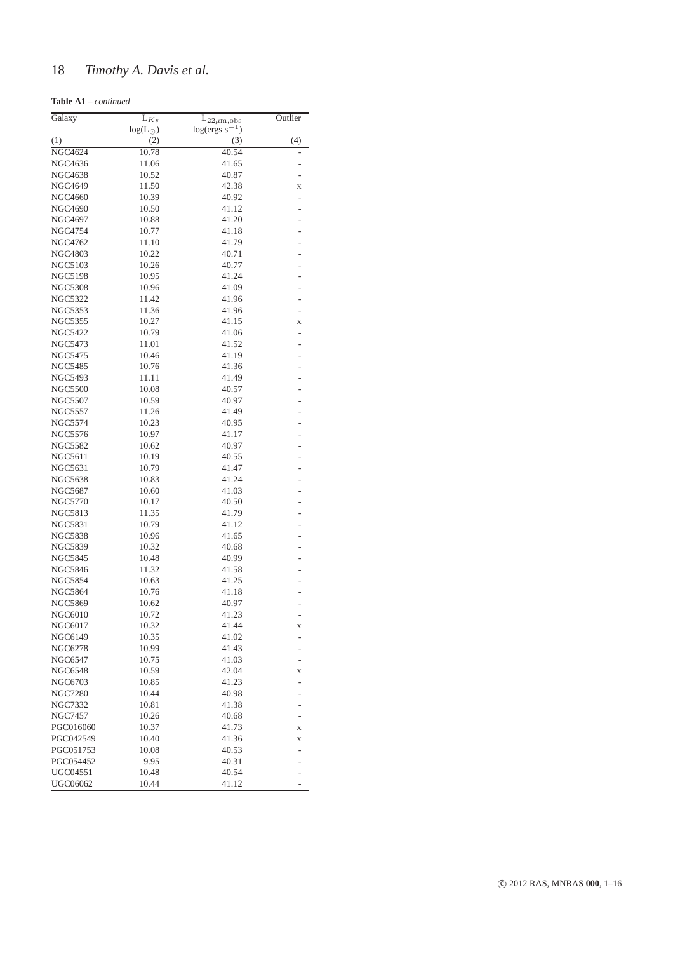# 18 *Timothy A. Davis et al.*

**Table A1** – *continued*

| Galaxy          |                                        |                                          | Outlier                  |
|-----------------|----------------------------------------|------------------------------------------|--------------------------|
|                 | $\mathcal{L}_{Ks}$<br>$log(L_{\odot})$ | $\rm L_{22\mu m,obs}$<br>$log(ergs s-1)$ |                          |
| (1)             |                                        |                                          |                          |
|                 | (2)                                    | (3)                                      | (4)                      |
| <b>NGC4624</b>  | 10.78                                  | 40.54                                    |                          |
| <b>NGC4636</b>  | 11.06                                  | 41.65                                    |                          |
| <b>NGC4638</b>  | 10.52                                  | 40.87                                    |                          |
| <b>NGC4649</b>  | 11.50                                  | 42.38                                    | X                        |
| <b>NGC4660</b>  | 10.39                                  | 40.92                                    |                          |
| <b>NGC4690</b>  | 10.50                                  | 41.12                                    |                          |
| <b>NGC4697</b>  | 10.88                                  | 41.20                                    |                          |
| <b>NGC4754</b>  | 10.77                                  | 41.18                                    |                          |
| <b>NGC4762</b>  | 11.10                                  | 41.79                                    |                          |
| <b>NGC4803</b>  | 10.22                                  | 40.71                                    |                          |
| <b>NGC5103</b>  | 10.26                                  | 40.77                                    |                          |
| <b>NGC5198</b>  | 10.95                                  | 41.24                                    |                          |
| <b>NGC5308</b>  | 10.96                                  | 41.09                                    |                          |
| <b>NGC5322</b>  | 11.42                                  | 41.96                                    |                          |
| NGC5353         | 11.36                                  | 41.96                                    | $\overline{a}$           |
| <b>NGC5355</b>  | 10.27                                  | 41.15                                    | X                        |
| <b>NGC5422</b>  | 10.79                                  | 41.06                                    |                          |
| NGC5473         | 11.01                                  | 41.52                                    |                          |
| <b>NGC5475</b>  | 10.46                                  | 41.19                                    |                          |
| <b>NGC5485</b>  | 10.76                                  | 41.36                                    |                          |
| <b>NGC5493</b>  | 11.11                                  | 41.49                                    |                          |
| <b>NGC5500</b>  | 10.08                                  | 40.57                                    |                          |
| <b>NGC5507</b>  | 10.59                                  | 40.97                                    |                          |
| <b>NGC5557</b>  | 11.26                                  | 41.49                                    |                          |
| <b>NGC5574</b>  | 10.23                                  | 40.95                                    |                          |
| <b>NGC5576</b>  | 10.97                                  | 41.17                                    |                          |
| <b>NGC5582</b>  | 10.62                                  | 40.97                                    |                          |
| <b>NGC5611</b>  | 10.19                                  | 40.55                                    |                          |
| <b>NGC5631</b>  | 10.79                                  | 41.47                                    |                          |
| <b>NGC5638</b>  | 10.83                                  | 41.24                                    |                          |
| <b>NGC5687</b>  | 10.60                                  | 41.03                                    |                          |
| <b>NGC5770</b>  | 10.17                                  | 40.50                                    | $\overline{a}$           |
| <b>NGC5813</b>  | 11.35                                  | 41.79                                    |                          |
| <b>NGC5831</b>  | 10.79                                  | 41.12                                    |                          |
| <b>NGC5838</b>  | 10.96                                  | 41.65                                    |                          |
| <b>NGC5839</b>  | 10.32                                  | 40.68                                    |                          |
| <b>NGC5845</b>  | 10.48                                  | 40.99                                    |                          |
| <b>NGC5846</b>  | 11.32                                  | 41.58                                    |                          |
| <b>NGC5854</b>  |                                        | 41.25                                    |                          |
| <b>NGC5864</b>  | 10.63<br>10.76                         | 41.18                                    |                          |
| <b>NGC5869</b>  | 10.62                                  |                                          |                          |
|                 |                                        | 40.97                                    |                          |
| <b>NGC6010</b>  | 10.72                                  | 41.23                                    |                          |
| NGC6017         | 10.32                                  | 41.44                                    | X                        |
| <b>NGC6149</b>  | 10.35                                  | 41.02                                    |                          |
| <b>NGC6278</b>  | 10.99                                  | 41.43                                    |                          |
| <b>NGC6547</b>  | 10.75                                  | 41.03                                    |                          |
| <b>NGC6548</b>  | 10.59                                  | 42.04                                    | X                        |
| <b>NGC6703</b>  | 10.85                                  | 41.23                                    |                          |
| <b>NGC7280</b>  | 10.44                                  | 40.98                                    |                          |
| <b>NGC7332</b>  | 10.81                                  | 41.38                                    |                          |
| <b>NGC7457</b>  | 10.26                                  | 40.68                                    | $\overline{\phantom{0}}$ |
| PGC016060       | 10.37                                  | 41.73                                    | X                        |
| PGC042549       | 10.40                                  | 41.36                                    | X                        |
| PGC051753       | 10.08                                  | 40.53                                    |                          |
| PGC054452       | 9.95                                   | 40.31                                    |                          |
| <b>UGC04551</b> | 10.48                                  | 40.54                                    |                          |
| <b>UGC06062</b> | 10.44                                  | 41.12                                    | -                        |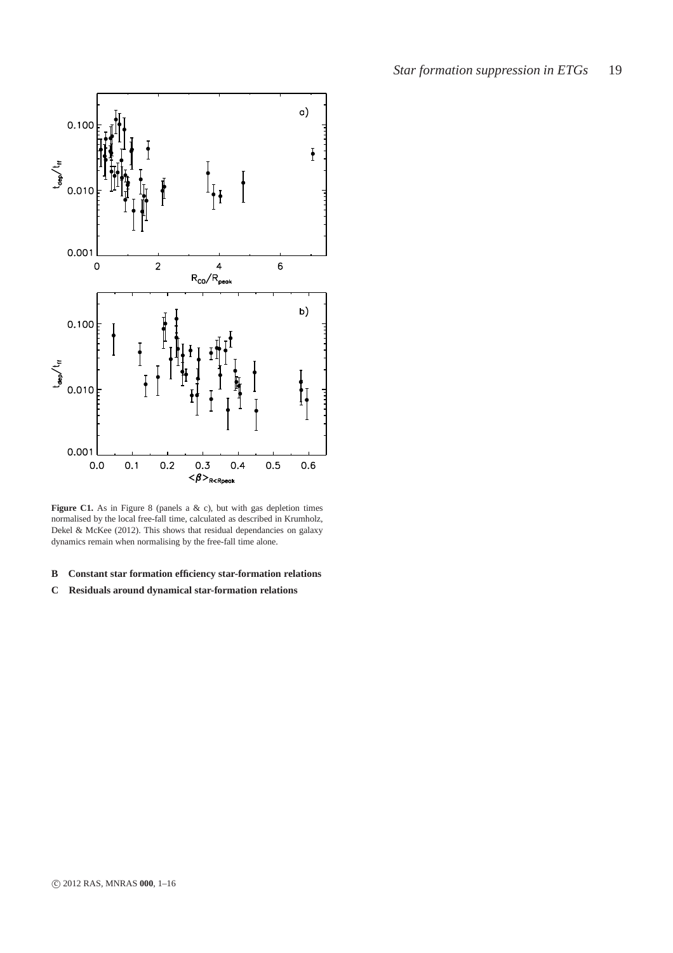

Figure C1. As in Figure 8 (panels a & c), but with gas depletion times normalised by the local free-fall time, calculated as described in Krumholz, Dekel & McKee (2012). This shows that residual dependancies on galaxy dynamics remain when normalising by the free-fall time alone.

- **B Constant star formation efficiency star-formation relations**
- **C Residuals around dynamical star-formation relations**